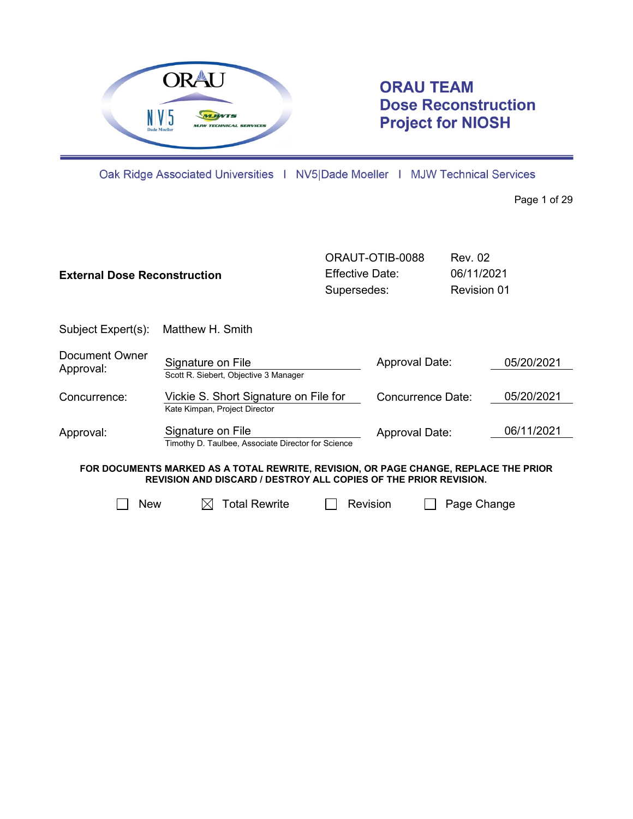

# **ORAU TEAM Dose Reconstruction Project for NIOSH**

Oak Ridge Associated Universities | NV5|Dade Moeller | MJW Technical Services

Page 1 of 29

| <b>External Dose Reconstruction</b>                                                                                                                             |                                                                         |          | ORAUT-OTIB-0088<br>Effective Date:<br>Supersedes: |             | Rev. 02<br>06/11/2021<br><b>Revision 01</b> |  |
|-----------------------------------------------------------------------------------------------------------------------------------------------------------------|-------------------------------------------------------------------------|----------|---------------------------------------------------|-------------|---------------------------------------------|--|
| Subject Expert(s):                                                                                                                                              | Matthew H. Smith                                                        |          |                                                   |             |                                             |  |
| <b>Document Owner</b><br>Approval:                                                                                                                              | Signature on File<br>Scott R. Siebert, Objective 3 Manager              |          | Approval Date:                                    |             | 05/20/2021                                  |  |
| Concurrence:                                                                                                                                                    | Vickie S. Short Signature on File for<br>Kate Kimpan, Project Director  |          | Concurrence Date:                                 |             | 05/20/2021                                  |  |
| Approval:                                                                                                                                                       | Signature on File<br>Timothy D. Taulbee, Associate Director for Science |          | Approval Date:                                    |             | 06/11/2021                                  |  |
| FOR DOCUMENTS MARKED AS A TOTAL REWRITE, REVISION, OR PAGE CHANGE, REPLACE THE PRIOR<br><b>REVISION AND DISCARD / DESTROY ALL COPIES OF THE PRIOR REVISION.</b> |                                                                         |          |                                                   |             |                                             |  |
| New                                                                                                                                                             | <b>Total Rewrite</b>                                                    | Revision |                                                   | Page Change |                                             |  |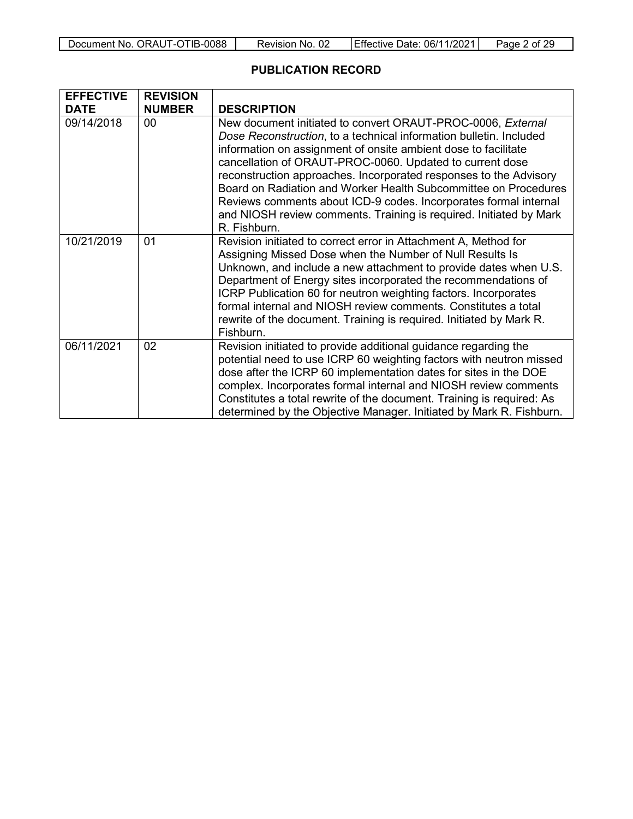| Document No. ORAUT-OTIB-0088 | Revision No. 02 | Effective Date: 06/11/2021 | Page 2 of 29 |
|------------------------------|-----------------|----------------------------|--------------|
|------------------------------|-----------------|----------------------------|--------------|

#### **PUBLICATION RECORD**

| <b>EFFECTIVE</b> | <b>REVISION</b> |                                                                                                                                                                                                                                                                                                                                                                                                                                                                                                                                                                   |
|------------------|-----------------|-------------------------------------------------------------------------------------------------------------------------------------------------------------------------------------------------------------------------------------------------------------------------------------------------------------------------------------------------------------------------------------------------------------------------------------------------------------------------------------------------------------------------------------------------------------------|
| <b>DATE</b>      | <b>NUMBER</b>   | <b>DESCRIPTION</b>                                                                                                                                                                                                                                                                                                                                                                                                                                                                                                                                                |
| 09/14/2018       | 00 <sup>1</sup> | New document initiated to convert ORAUT-PROC-0006, External<br>Dose Reconstruction, to a technical information bulletin. Included<br>information on assignment of onsite ambient dose to facilitate<br>cancellation of ORAUT-PROC-0060. Updated to current dose<br>reconstruction approaches. Incorporated responses to the Advisory<br>Board on Radiation and Worker Health Subcommittee on Procedures<br>Reviews comments about ICD-9 codes. Incorporates formal internal<br>and NIOSH review comments. Training is required. Initiated by Mark<br>R. Fishburn. |
| 10/21/2019       | 01              | Revision initiated to correct error in Attachment A, Method for<br>Assigning Missed Dose when the Number of Null Results Is<br>Unknown, and include a new attachment to provide dates when U.S.<br>Department of Energy sites incorporated the recommendations of<br>ICRP Publication 60 for neutron weighting factors. Incorporates<br>formal internal and NIOSH review comments. Constitutes a total<br>rewrite of the document. Training is required. Initiated by Mark R.<br>Fishburn.                                                                        |
| 06/11/2021       | 02              | Revision initiated to provide additional guidance regarding the<br>potential need to use ICRP 60 weighting factors with neutron missed<br>dose after the ICRP 60 implementation dates for sites in the DOE<br>complex. Incorporates formal internal and NIOSH review comments<br>Constitutes a total rewrite of the document. Training is required: As<br>determined by the Objective Manager. Initiated by Mark R. Fishburn.                                                                                                                                     |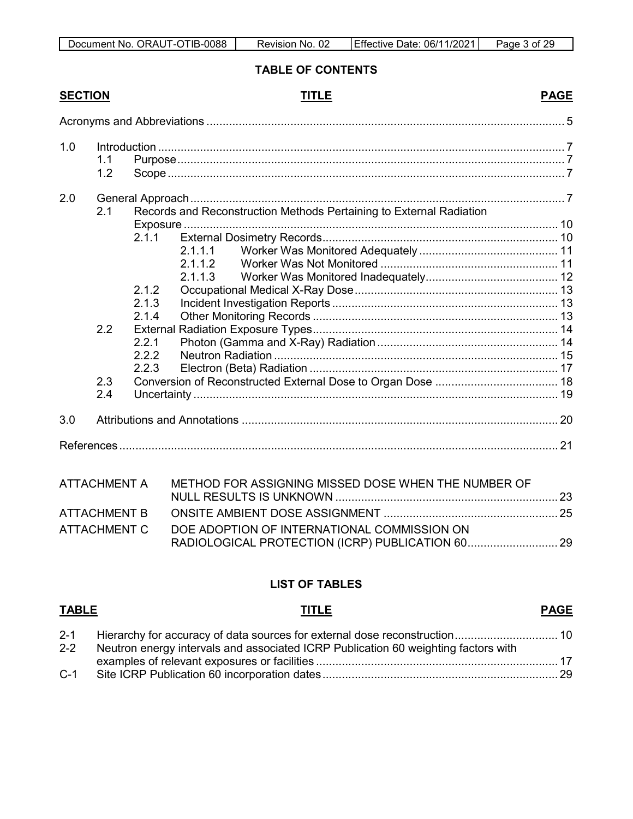#### **TABLE OF CONTENTS**

## **SECTION TITLE PAGE**

|--|

| 1.0 | 1.1<br>1.2               |                                                             |                                                                                                      |    |
|-----|--------------------------|-------------------------------------------------------------|------------------------------------------------------------------------------------------------------|----|
| 2.0 | 2.1<br>2.2<br>2.3<br>2.4 | 2.1.1<br>2.1.2<br>2.1.3<br>2.1.4<br>2.2.1<br>2.2.2<br>2.2.3 | Records and Reconstruction Methods Pertaining to External Radiation<br>2.1.1.1<br>2.1.1.2<br>2.1.1.3 |    |
| 3.0 |                          |                                                             |                                                                                                      |    |
|     |                          |                                                             |                                                                                                      |    |
|     | <b>ATTACHMENT A</b>      |                                                             | METHOD FOR ASSIGNING MISSED DOSE WHEN THE NUMBER OF                                                  |    |
|     | ATTACHMENT R             |                                                             | ONSITE AMBIENT DOSE ASSIGNMENT                                                                       | 25 |

| ATTACHMENT C   DOE ADOPTION OF INTERNATIONAL COMMISSION ON l |  |
|--------------------------------------------------------------|--|
|                                                              |  |

## **LIST OF TABLES**

## **TABLE TITLE PAGE** 2-1 [Hierarchy for accuracy of data sources for external dose reconstruction................................](#page-9-2)...<br>2-2 Neutron energy intervals and associated ICRP Publication 60 weighting factors with Neutron energy intervals and associated ICRP Publication 60 weighting factors with examples of relevant exposures or facilities [...........................................................................](#page-16-1) 17 C-1 [Site ICRP Publication 60 incorporation dates.........................................................................](#page-28-1) 29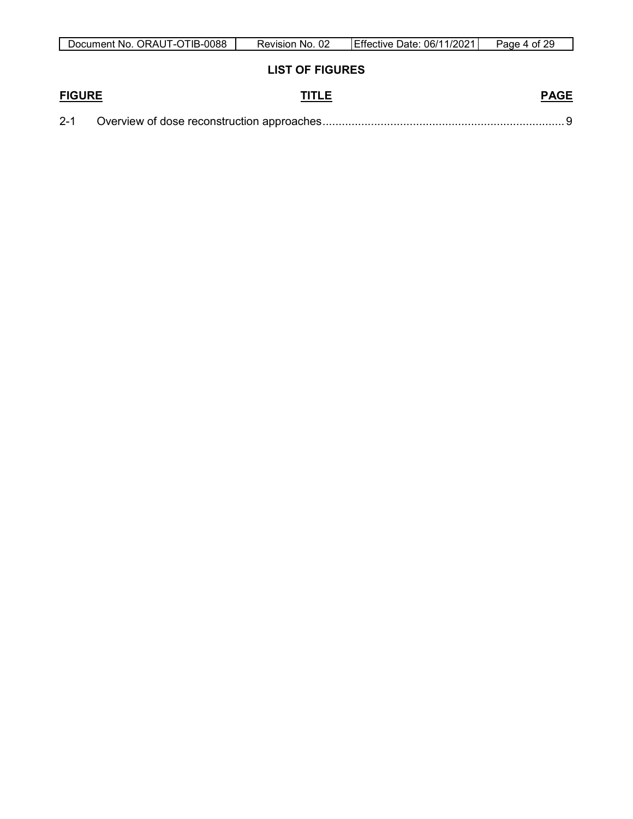| Document No. ORAUT-OTIB-0088 | Revision No. 02        | Effective Date: 06/11/2021 | Page 4 of 29 |
|------------------------------|------------------------|----------------------------|--------------|
|                              | <b>LIST OF FIGURES</b> |                            |              |
| <b>FIGURE</b>                | TITLE                  |                            | <b>PAGE</b>  |
| $2 - 1$                      |                        |                            |              |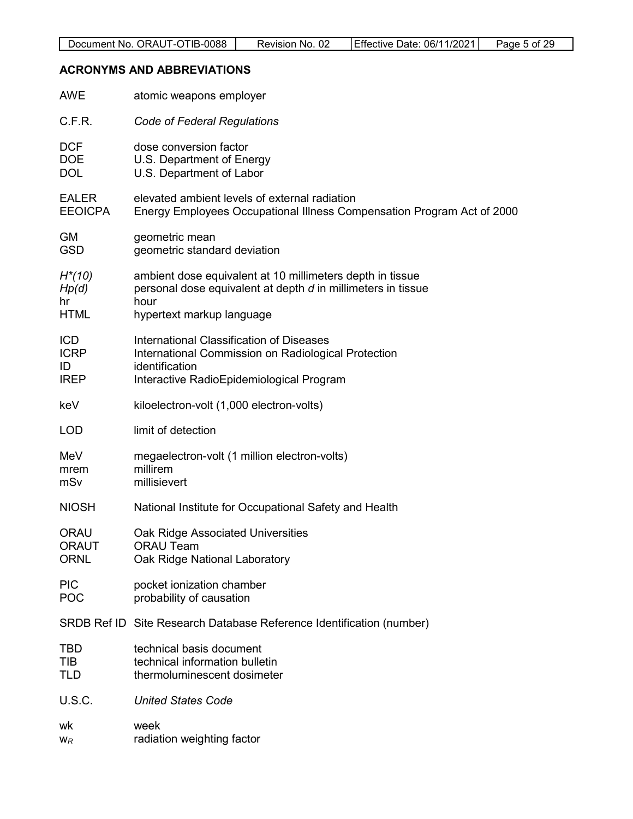## <span id="page-4-0"></span>**ACRONYMS AND ABBREVIATIONS**

| <b>AWE</b>     | atomic weapons employer                                                |
|----------------|------------------------------------------------------------------------|
| C.F.R.         | Code of Federal Regulations                                            |
| <b>DCF</b>     | dose conversion factor                                                 |
| DOE            | U.S. Department of Energy                                              |
| <b>DOL</b>     | U.S. Department of Labor                                               |
| <b>EALER</b>   | elevated ambient levels of external radiation                          |
| <b>EEOICPA</b> | Energy Employees Occupational Illness Compensation Program Act of 2000 |
| <b>GM</b>      | geometric mean                                                         |
| <b>GSD</b>     | geometric standard deviation                                           |
| $H^*(10)$      | ambient dose equivalent at 10 millimeters depth in tissue              |
| Hp(d)          | personal dose equivalent at depth d in millimeters in tissue           |
| hr             | hour                                                                   |
| <b>HTML</b>    | hypertext markup language                                              |
| <b>ICD</b>     | International Classification of Diseases                               |
| <b>ICRP</b>    | International Commission on Radiological Protection                    |
| ID             | identification                                                         |
| <b>IREP</b>    | Interactive RadioEpidemiological Program                               |
| keV            | kiloelectron-volt (1,000 electron-volts)                               |
| <b>LOD</b>     | limit of detection                                                     |
| MeV            | megaelectron-volt (1 million electron-volts)                           |
| mrem           | millirem                                                               |
| mSv            | millisievert                                                           |
| <b>NIOSH</b>   | National Institute for Occupational Safety and Health                  |
| <b>ORAU</b>    | Oak Ridge Associated Universities                                      |
| <b>ORAUT</b>   | <b>ORAU Team</b>                                                       |
| <b>ORNL</b>    | Oak Ridge National Laboratory                                          |
| <b>PIC</b>     | pocket ionization chamber                                              |
| POC            | probability of causation                                               |
|                | SRDB Ref ID Site Research Database Reference Identification (number)   |
| <b>TBD</b>     | technical basis document                                               |
| TIB            | technical information bulletin                                         |
| <b>TLD</b>     | thermoluminescent dosimeter                                            |
| U.S.C.         | <b>United States Code</b>                                              |
| wk             | week                                                                   |
| $W_R$          | radiation weighting factor                                             |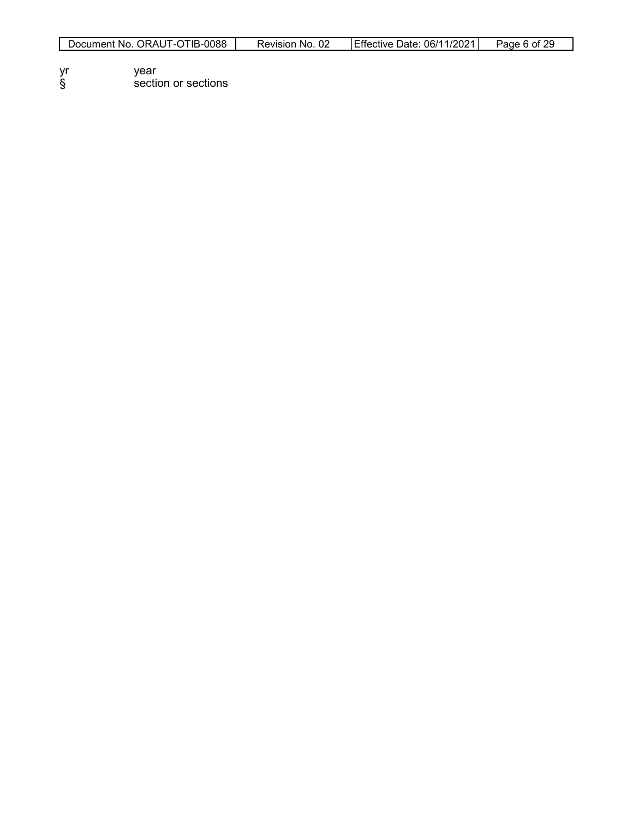- yr year<br>§ sectio § section or sections
-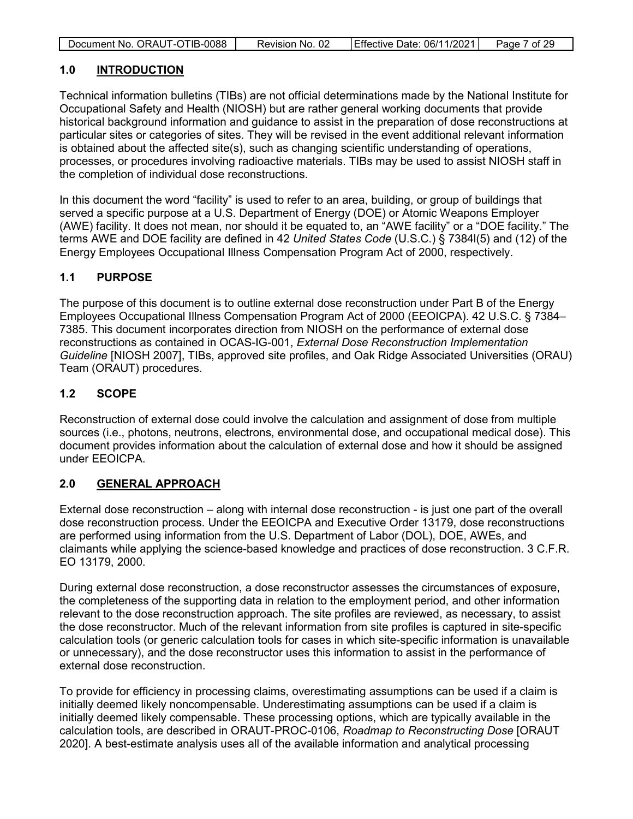| Document No. ORAUT-OTIB-0088 | Revision No. 02 | Effective Date: 06/11/2021 | Page 7 of 29 |
|------------------------------|-----------------|----------------------------|--------------|

#### <span id="page-6-0"></span>**1.0 INTRODUCTION**

Technical information bulletins (TIBs) are not official determinations made by the National Institute for Occupational Safety and Health (NIOSH) but are rather general working documents that provide historical background information and guidance to assist in the preparation of dose reconstructions at particular sites or categories of sites. They will be revised in the event additional relevant information is obtained about the affected site(s), such as changing scientific understanding of operations, processes, or procedures involving radioactive materials. TIBs may be used to assist NIOSH staff in the completion of individual dose reconstructions.

In this document the word "facility" is used to refer to an area, building, or group of buildings that served a specific purpose at a U.S. Department of Energy (DOE) or Atomic Weapons Employer (AWE) facility. It does not mean, nor should it be equated to, an "AWE facility" or a "DOE facility." The terms AWE and DOE facility are defined in 42 *United States Code* (U.S.C.) § 7384l(5) and (12) of the Energy Employees Occupational Illness Compensation Program Act of 2000, respectively.

#### <span id="page-6-1"></span>**1.1 PURPOSE**

The purpose of this document is to outline external dose reconstruction under Part B of the Energy Employees Occupational Illness Compensation Program Act of 2000 (EEOICPA). 42 U.S.C. § 7384– 7385. This document incorporates direction from NIOSH on the performance of external dose reconstructions as contained in OCAS-IG-001, *External Dose Reconstruction Implementation Guideline* [NIOSH 2007], TIBs, approved site profiles, and Oak Ridge Associated Universities (ORAU) Team (ORAUT) procedures.

#### <span id="page-6-2"></span>**1.2 SCOPE**

Reconstruction of external dose could involve the calculation and assignment of dose from multiple sources (i.e., photons, neutrons, electrons, environmental dose, and occupational medical dose). This document provides information about the calculation of external dose and how it should be assigned under EEOICPA.

#### <span id="page-6-3"></span>**2.0 GENERAL APPROACH**

External dose reconstruction – along with internal dose reconstruction - is just one part of the overall dose reconstruction process. Under the EEOICPA and Executive Order 13179, dose reconstructions are performed using information from the U.S. Department of Labor (DOL), DOE, AWEs, and claimants while applying the science-based knowledge and practices of dose reconstruction. 3 C.F.R. EO 13179, 2000.

During external dose reconstruction, a dose reconstructor assesses the circumstances of exposure, the completeness of the supporting data in relation to the employment period, and other information relevant to the dose reconstruction approach. The site profiles are reviewed, as necessary, to assist the dose reconstructor. Much of the relevant information from site profiles is captured in site-specific calculation tools (or generic calculation tools for cases in which site-specific information is unavailable or unnecessary), and the dose reconstructor uses this information to assist in the performance of external dose reconstruction.

To provide for efficiency in processing claims, overestimating assumptions can be used if a claim is initially deemed likely noncompensable. Underestimating assumptions can be used if a claim is initially deemed likely compensable. These processing options, which are typically available in the calculation tools, are described in ORAUT-PROC-0106, *Roadmap to Reconstructing Dose* [ORAUT 2020]. A best-estimate analysis uses all of the available information and analytical processing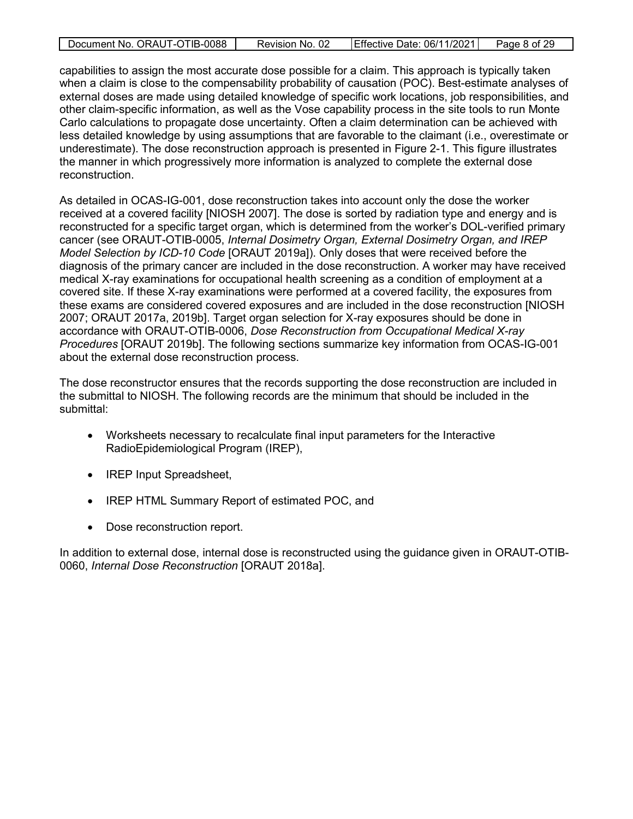| Document No. ORAUT-OTIB-0088 | Revision No. 02 | Effective Date: 06/11/2021 | Page 8 of 29 |
|------------------------------|-----------------|----------------------------|--------------|
|                              |                 |                            |              |

capabilities to assign the most accurate dose possible for a claim. This approach is typically taken when a claim is close to the compensability probability of causation (POC). Best-estimate analyses of external doses are made using detailed knowledge of specific work locations, job responsibilities, and other claim-specific information, as well as the Vose capability process in the site tools to run Monte Carlo calculations to propagate dose uncertainty. Often a claim determination can be achieved with less detailed knowledge by using assumptions that are favorable to the claimant (i.e., overestimate or underestimate). The dose reconstruction approach is presented in Figure 2-1. This figure illustrates the manner in which progressively more information is analyzed to complete the external dose reconstruction.

As detailed in OCAS-IG-001, dose reconstruction takes into account only the dose the worker received at a covered facility [NIOSH 2007]. The dose is sorted by radiation type and energy and is reconstructed for a specific target organ, which is determined from the worker's DOL-verified primary cancer (see ORAUT-OTIB-0005, *Internal Dosimetry Organ, External Dosimetry Organ, and IREP Model Selection by ICD-10 Code* [ORAUT 2019a]). Only doses that were received before the diagnosis of the primary cancer are included in the dose reconstruction. A worker may have received medical X-ray examinations for occupational health screening as a condition of employment at a covered site. If these X-ray examinations were performed at a covered facility, the exposures from these exams are considered covered exposures and are included in the dose reconstruction [NIOSH 2007; ORAUT 2017a, 2019b]. Target organ selection for X-ray exposures should be done in accordance with ORAUT-OTIB-0006, *Dose Reconstruction from Occupational Medical X-ray Procedures* [ORAUT 2019b]. The following sections summarize key information from OCAS-IG-001 about the external dose reconstruction process.

The dose reconstructor ensures that the records supporting the dose reconstruction are included in the submittal to NIOSH. The following records are the minimum that should be included in the submittal:

- Worksheets necessary to recalculate final input parameters for the Interactive RadioEpidemiological Program (IREP),
- IREP Input Spreadsheet,
- IREP HTML Summary Report of estimated POC, and
- Dose reconstruction report.

In addition to external dose, internal dose is reconstructed using the guidance given in ORAUT-OTIB-0060, *Internal Dose Reconstruction* [ORAUT 2018a].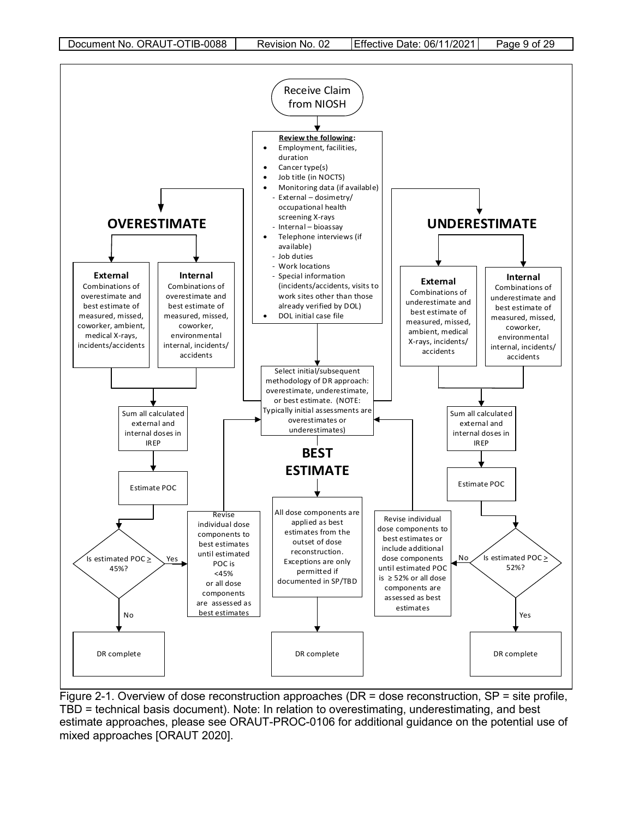

<span id="page-8-0"></span>Figure 2-1. Overview of dose reconstruction approaches (DR = dose reconstruction, SP = site profile, TBD = technical basis document). Note: In relation to overestimating, underestimating, and best estimate approaches, please see ORAUT-PROC-0106 for additional guidance on the potential use of mixed approaches [ORAUT 2020].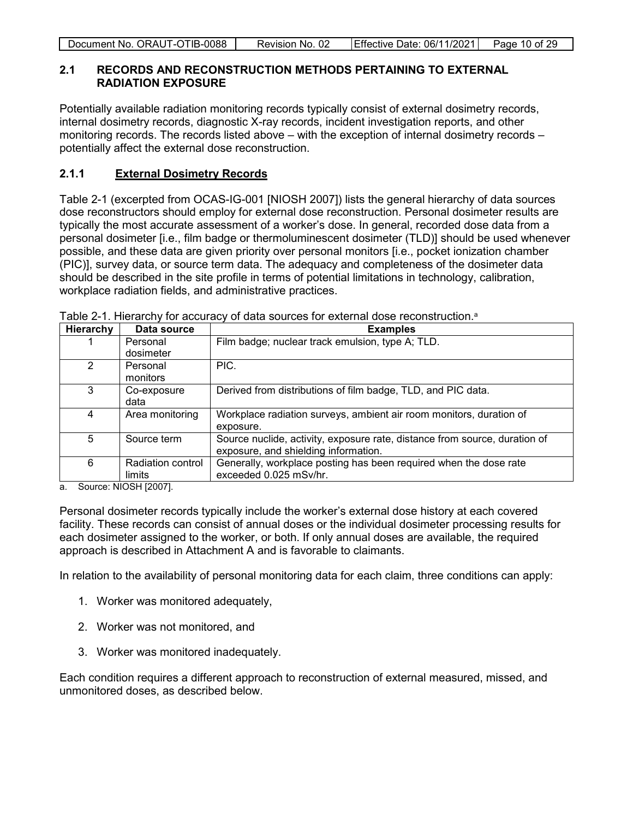|  | Document No. ORAUT-OTIB-0088 | Revision No. 02 | Effective Date: 06/11/2021 | Page 10 of 29 |
|--|------------------------------|-----------------|----------------------------|---------------|
|--|------------------------------|-----------------|----------------------------|---------------|

#### <span id="page-9-0"></span>**2.1 RECORDS AND RECONSTRUCTION METHODS PERTAINING TO EXTERNAL RADIATION EXPOSURE**

Potentially available radiation monitoring records typically consist of external dosimetry records, internal dosimetry records, diagnostic X-ray records, incident investigation reports, and other monitoring records. The records listed above – with the exception of internal dosimetry records – potentially affect the external dose reconstruction.

#### <span id="page-9-1"></span>**2.1.1 External Dosimetry Records**

Table 2-1 (excerpted from OCAS-IG-001 [NIOSH 2007]) lists the general hierarchy of data sources dose reconstructors should employ for external dose reconstruction. Personal dosimeter results are typically the most accurate assessment of a worker's dose. In general, recorded dose data from a personal dosimeter [i.e., film badge or thermoluminescent dosimeter (TLD)] should be used whenever possible, and these data are given priority over personal monitors [i.e., pocket ionization chamber (PIC)], survey data, or source term data. The adequacy and completeness of the dosimeter data should be described in the site profile in terms of potential limitations in technology, calibration, workplace radiation fields, and administrative practices.

| Hierarchy | Data source       | <b>Examples</b>                                                            |
|-----------|-------------------|----------------------------------------------------------------------------|
|           | Personal          | Film badge; nuclear track emulsion, type A; TLD.                           |
|           | dosimeter         |                                                                            |
| 2         | Personal          | PIC.                                                                       |
|           | monitors          |                                                                            |
| 3         | Co-exposure       | Derived from distributions of film badge, TLD, and PIC data.               |
|           | data              |                                                                            |
| 4         | Area monitoring   | Workplace radiation surveys, ambient air room monitors, duration of        |
|           |                   | exposure.                                                                  |
| 5         | Source term       | Source nuclide, activity, exposure rate, distance from source, duration of |
|           |                   | exposure, and shielding information.                                       |
| 6         | Radiation control | Generally, workplace posting has been required when the dose rate          |
|           | limits            | exceeded 0.025 mSv/hr.                                                     |

<span id="page-9-2"></span>Table 2-1. Hierarchy for accuracy of data sources for external dose reconstruction.<sup>a</sup>

a. Source: NIOSH [2007].

Personal dosimeter records typically include the worker's external dose history at each covered facility. These records can consist of annual doses or the individual dosimeter processing results for each dosimeter assigned to the worker, or both. If only annual doses are available, the required approach is described in Attachment A and is favorable to claimants.

In relation to the availability of personal monitoring data for each claim, three conditions can apply:

- 1. Worker was monitored adequately,
- 2. Worker was not monitored, and
- 3. Worker was monitored inadequately.

Each condition requires a different approach to reconstruction of external measured, missed, and unmonitored doses, as described below.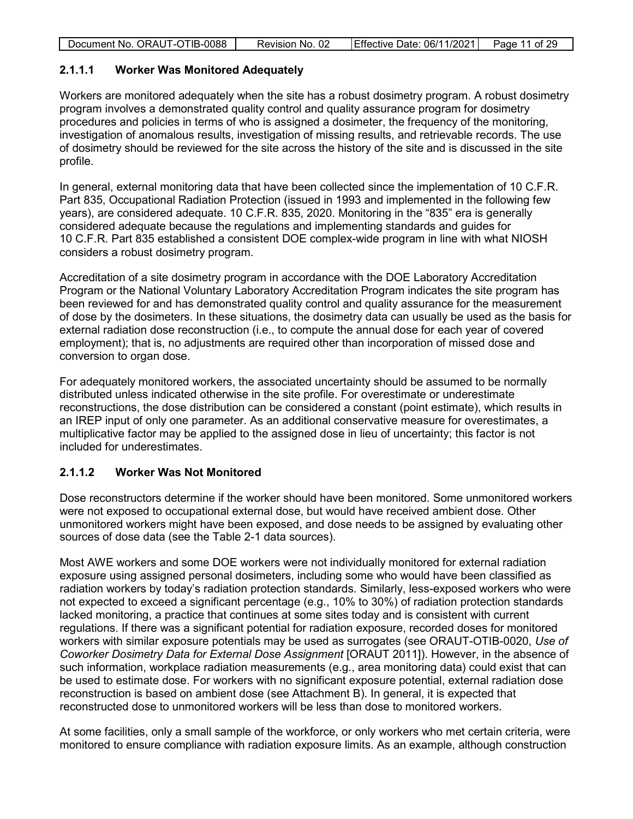| Effective Date: 06/11/2021<br>Document No. ORAUT-OTIB-0088<br>Page 11 of 29<br>Revision No. 02 |
|------------------------------------------------------------------------------------------------|
|------------------------------------------------------------------------------------------------|

#### <span id="page-10-0"></span>**2.1.1.1 Worker Was Monitored Adequately**

Workers are monitored adequately when the site has a robust dosimetry program. A robust dosimetry program involves a demonstrated quality control and quality assurance program for dosimetry procedures and policies in terms of who is assigned a dosimeter, the frequency of the monitoring, investigation of anomalous results, investigation of missing results, and retrievable records. The use of dosimetry should be reviewed for the site across the history of the site and is discussed in the site profile.

In general, external monitoring data that have been collected since the implementation of 10 C.F.R. Part 835, Occupational Radiation Protection (issued in 1993 and implemented in the following few years), are considered adequate. 10 C.F.R. 835, 2020. Monitoring in the "835" era is generally considered adequate because the regulations and implementing standards and guides for 10 C.F.R. Part 835 established a consistent DOE complex-wide program in line with what NIOSH considers a robust dosimetry program.

Accreditation of a site dosimetry program in accordance with the DOE Laboratory Accreditation Program or the National Voluntary Laboratory Accreditation Program indicates the site program has been reviewed for and has demonstrated quality control and quality assurance for the measurement of dose by the dosimeters. In these situations, the dosimetry data can usually be used as the basis for external radiation dose reconstruction (i.e., to compute the annual dose for each year of covered employment); that is, no adjustments are required other than incorporation of missed dose and conversion to organ dose.

For adequately monitored workers, the associated uncertainty should be assumed to be normally distributed unless indicated otherwise in the site profile. For overestimate or underestimate reconstructions, the dose distribution can be considered a constant (point estimate), which results in an IREP input of only one parameter. As an additional conservative measure for overestimates, a multiplicative factor may be applied to the assigned dose in lieu of uncertainty; this factor is not included for underestimates.

#### <span id="page-10-1"></span>**2.1.1.2 Worker Was Not Monitored**

Dose reconstructors determine if the worker should have been monitored. Some unmonitored workers were not exposed to occupational external dose, but would have received ambient dose. Other unmonitored workers might have been exposed, and dose needs to be assigned by evaluating other sources of dose data (see the Table 2-1 data sources).

Most AWE workers and some DOE workers were not individually monitored for external radiation exposure using assigned personal dosimeters, including some who would have been classified as radiation workers by today's radiation protection standards. Similarly, less-exposed workers who were not expected to exceed a significant percentage (e.g., 10% to 30%) of radiation protection standards lacked monitoring, a practice that continues at some sites today and is consistent with current regulations. If there was a significant potential for radiation exposure, recorded doses for monitored workers with similar exposure potentials may be used as surrogates (see ORAUT-OTIB-0020, *Use of Coworker Dosimetry Data for External Dose Assignment* [ORAUT 2011]). However, in the absence of such information, workplace radiation measurements (e.g., area monitoring data) could exist that can be used to estimate dose. For workers with no significant exposure potential, external radiation dose reconstruction is based on ambient dose (see Attachment B). In general, it is expected that reconstructed dose to unmonitored workers will be less than dose to monitored workers.

At some facilities, only a small sample of the workforce, or only workers who met certain criteria, were monitored to ensure compliance with radiation exposure limits. As an example, although construction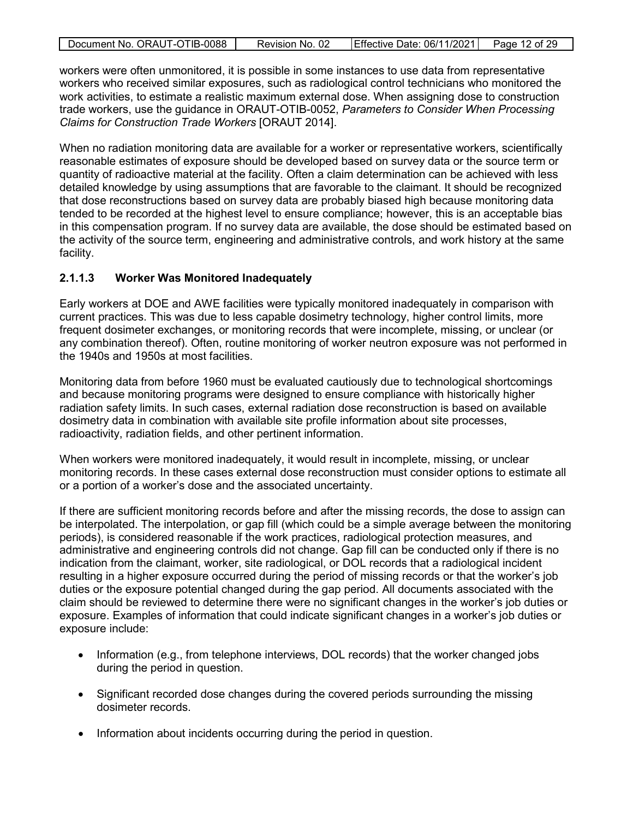|  | Document No. ORAUT-OTIB-0088 | Revision No. 02 | Effective Date: 06/11/2021 | Page 12 of 29 |
|--|------------------------------|-----------------|----------------------------|---------------|
|--|------------------------------|-----------------|----------------------------|---------------|

workers were often unmonitored, it is possible in some instances to use data from representative workers who received similar exposures, such as radiological control technicians who monitored the work activities, to estimate a realistic maximum external dose. When assigning dose to construction trade workers, use the guidance in ORAUT-OTIB-0052, *Parameters to Consider When Processing Claims for Construction Trade Workers* [ORAUT 2014].

When no radiation monitoring data are available for a worker or representative workers, scientifically reasonable estimates of exposure should be developed based on survey data or the source term or quantity of radioactive material at the facility. Often a claim determination can be achieved with less detailed knowledge by using assumptions that are favorable to the claimant. It should be recognized that dose reconstructions based on survey data are probably biased high because monitoring data tended to be recorded at the highest level to ensure compliance; however, this is an acceptable bias in this compensation program. If no survey data are available, the dose should be estimated based on the activity of the source term, engineering and administrative controls, and work history at the same facility.

#### <span id="page-11-0"></span>**2.1.1.3 Worker Was Monitored Inadequately**

Early workers at DOE and AWE facilities were typically monitored inadequately in comparison with current practices. This was due to less capable dosimetry technology, higher control limits, more frequent dosimeter exchanges, or monitoring records that were incomplete, missing, or unclear (or any combination thereof). Often, routine monitoring of worker neutron exposure was not performed in the 1940s and 1950s at most facilities.

Monitoring data from before 1960 must be evaluated cautiously due to technological shortcomings and because monitoring programs were designed to ensure compliance with historically higher radiation safety limits. In such cases, external radiation dose reconstruction is based on available dosimetry data in combination with available site profile information about site processes, radioactivity, radiation fields, and other pertinent information.

When workers were monitored inadequately, it would result in incomplete, missing, or unclear monitoring records. In these cases external dose reconstruction must consider options to estimate all or a portion of a worker's dose and the associated uncertainty.

If there are sufficient monitoring records before and after the missing records, the dose to assign can be interpolated. The interpolation, or gap fill (which could be a simple average between the monitoring periods), is considered reasonable if the work practices, radiological protection measures, and administrative and engineering controls did not change. Gap fill can be conducted only if there is no indication from the claimant, worker, site radiological, or DOL records that a radiological incident resulting in a higher exposure occurred during the period of missing records or that the worker's job duties or the exposure potential changed during the gap period. All documents associated with the claim should be reviewed to determine there were no significant changes in the worker's job duties or exposure. Examples of information that could indicate significant changes in a worker's job duties or exposure include:

- Information (e.g., from telephone interviews, DOL records) that the worker changed jobs during the period in question.
- Significant recorded dose changes during the covered periods surrounding the missing dosimeter records.
- Information about incidents occurring during the period in question.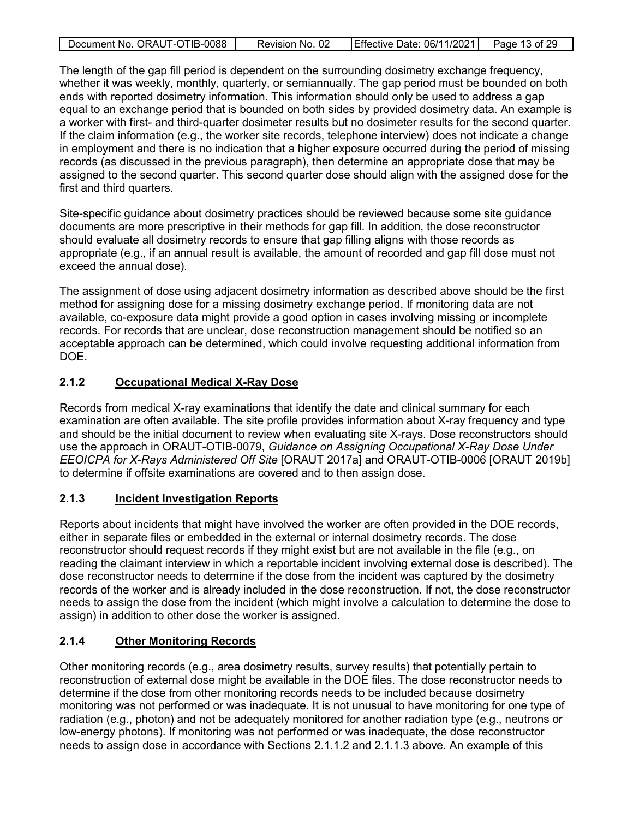| Document No. ORAUT-OTIB-0088 | Revision No. 02 | Effective Date: 06/11/2021 | Page 13 of 29 |
|------------------------------|-----------------|----------------------------|---------------|
|                              |                 |                            |               |

The length of the gap fill period is dependent on the surrounding dosimetry exchange frequency, whether it was weekly, monthly, quarterly, or semiannually. The gap period must be bounded on both ends with reported dosimetry information. This information should only be used to address a gap equal to an exchange period that is bounded on both sides by provided dosimetry data. An example is a worker with first- and third-quarter dosimeter results but no dosimeter results for the second quarter. If the claim information (e.g., the worker site records, telephone interview) does not indicate a change in employment and there is no indication that a higher exposure occurred during the period of missing records (as discussed in the previous paragraph), then determine an appropriate dose that may be assigned to the second quarter. This second quarter dose should align with the assigned dose for the first and third quarters.

Site-specific guidance about dosimetry practices should be reviewed because some site guidance documents are more prescriptive in their methods for gap fill. In addition, the dose reconstructor should evaluate all dosimetry records to ensure that gap filling aligns with those records as appropriate (e.g., if an annual result is available, the amount of recorded and gap fill dose must not exceed the annual dose).

The assignment of dose using adjacent dosimetry information as described above should be the first method for assigning dose for a missing dosimetry exchange period. If monitoring data are not available, co-exposure data might provide a good option in cases involving missing or incomplete records. For records that are unclear, dose reconstruction management should be notified so an acceptable approach can be determined, which could involve requesting additional information from DOE.

### <span id="page-12-0"></span>**2.1.2 Occupational Medical X-Ray Dose**

Records from medical X-ray examinations that identify the date and clinical summary for each examination are often available. The site profile provides information about X-ray frequency and type and should be the initial document to review when evaluating site X-rays. Dose reconstructors should use the approach in ORAUT-OTIB-0079, *Guidance on Assigning Occupational X-Ray Dose Under EEOICPA for X-Rays Administered Off Site* [ORAUT 2017a] and ORAUT-OTIB-0006 [ORAUT 2019b] to determine if offsite examinations are covered and to then assign dose.

### <span id="page-12-1"></span>**2.1.3 Incident Investigation Reports**

Reports about incidents that might have involved the worker are often provided in the DOE records, either in separate files or embedded in the external or internal dosimetry records. The dose reconstructor should request records if they might exist but are not available in the file (e.g., on reading the claimant interview in which a reportable incident involving external dose is described). The dose reconstructor needs to determine if the dose from the incident was captured by the dosimetry records of the worker and is already included in the dose reconstruction. If not, the dose reconstructor needs to assign the dose from the incident (which might involve a calculation to determine the dose to assign) in addition to other dose the worker is assigned.

### <span id="page-12-2"></span>**2.1.4 Other Monitoring Records**

Other monitoring records (e.g., area dosimetry results, survey results) that potentially pertain to reconstruction of external dose might be available in the DOE files. The dose reconstructor needs to determine if the dose from other monitoring records needs to be included because dosimetry monitoring was not performed or was inadequate. It is not unusual to have monitoring for one type of radiation (e.g., photon) and not be adequately monitored for another radiation type (e.g., neutrons or low-energy photons). If monitoring was not performed or was inadequate, the dose reconstructor needs to assign dose in accordance with Sections [2.1.1.2](#page-10-1) and [2.1.1.3](#page-11-0) above. An example of this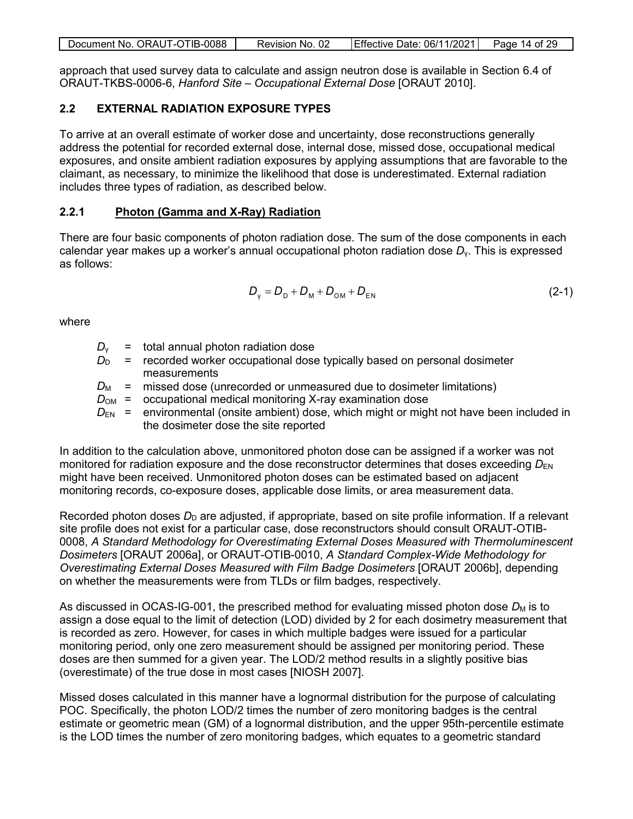| Document No. ORAUT-OTIB-0088 | Revision No. 02 | Effective Date: 06/11/2021 | Page 14 of 29 |
|------------------------------|-----------------|----------------------------|---------------|
|                              |                 |                            |               |

approach that used survey data to calculate and assign neutron dose is available in Section 6.4 of ORAUT-TKBS-0006-6, *Hanford Site – Occupational External Dose* [ORAUT 2010].

#### <span id="page-13-0"></span>**2.2 EXTERNAL RADIATION EXPOSURE TYPES**

To arrive at an overall estimate of worker dose and uncertainty, dose reconstructions generally address the potential for recorded external dose, internal dose, missed dose, occupational medical exposures, and onsite ambient radiation exposures by applying assumptions that are favorable to the claimant, as necessary, to minimize the likelihood that dose is underestimated. External radiation includes three types of radiation, as described below.

#### <span id="page-13-1"></span>**2.2.1 Photon (Gamma and X-Ray) Radiation**

There are four basic components of photon radiation dose. The sum of the dose components in each calendar year makes up a worker's annual occupational photon radiation dose *D*γ. This is expressed as follows:

$$
D_{v} = D_{D} + D_{M} + D_{OM} + D_{EN}
$$
 (2-1)

where

- $D_v$  = total annual photon radiation dose
- $D_D$  = recorded worker occupational dose typically based on personal dosimeter measurements
- $D_M$  = missed dose (unrecorded or unmeasured due to dosimeter limitations)
- $D_{OM}$  = occupational medical monitoring X-ray examination dose
- $D_{EN}$  = environmental (onsite ambient) dose, which might or might not have been included in the dosimeter dose the site reported

In addition to the calculation above, unmonitored photon dose can be assigned if a worker was not monitored for radiation exposure and the dose reconstructor determines that doses exceeding  $D_{FN}$ might have been received. Unmonitored photon doses can be estimated based on adjacent monitoring records, co-exposure doses, applicable dose limits, or area measurement data.

Recorded photon doses  $D_D$  are adjusted, if appropriate, based on site profile information. If a relevant site profile does not exist for a particular case, dose reconstructors should consult ORAUT-OTIB-0008, *A Standard Methodology for Overestimating External Doses Measured with Thermoluminescent Dosimeters* [ORAUT 2006a], or ORAUT-OTIB-0010, *A Standard Complex-Wide Methodology for Overestimating External Doses Measured with Film Badge Dosimeters* [ORAUT 2006b], depending on whether the measurements were from TLDs or film badges, respectively.

As discussed in OCAS-IG-001, the prescribed method for evaluating missed photon dose  $D_M$  is to assign a dose equal to the limit of detection (LOD) divided by 2 for each dosimetry measurement that is recorded as zero. However, for cases in which multiple badges were issued for a particular monitoring period, only one zero measurement should be assigned per monitoring period. These doses are then summed for a given year. The LOD/2 method results in a slightly positive bias (overestimate) of the true dose in most cases [NIOSH 2007].

Missed doses calculated in this manner have a lognormal distribution for the purpose of calculating POC. Specifically, the photon LOD/2 times the number of zero monitoring badges is the central estimate or geometric mean (GM) of a lognormal distribution, and the upper 95th-percentile estimate is the LOD times the number of zero monitoring badges, which equates to a geometric standard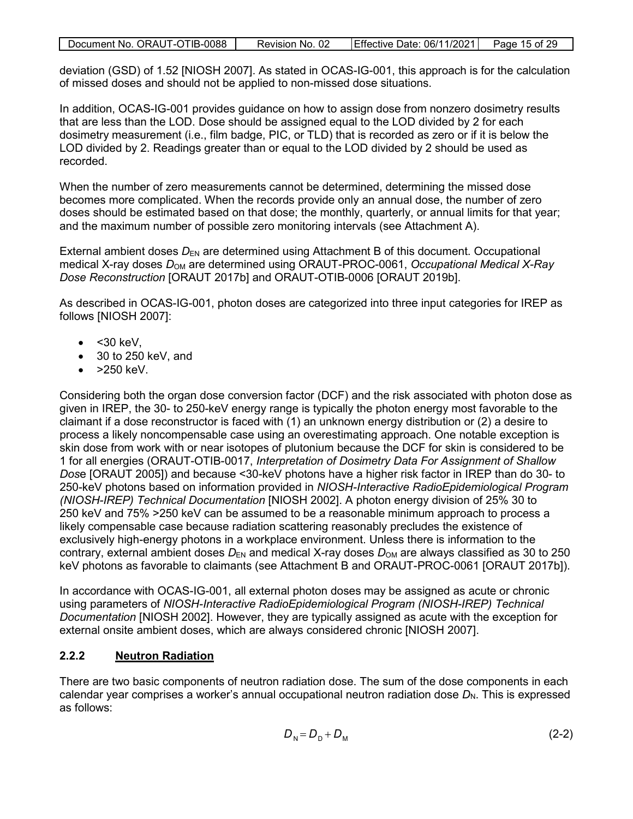| Document No. ORAUT-OTIB-0088 | Revision No. 02 | $\left  \right $ Effective Date: 06/11/2021 $\left  \right $ Page 15 of 29 |  |
|------------------------------|-----------------|----------------------------------------------------------------------------|--|
|                              |                 |                                                                            |  |

deviation (GSD) of 1.52 [NIOSH 2007]. As stated in OCAS-IG-001, this approach is for the calculation of missed doses and should not be applied to non-missed dose situations.

In addition, OCAS-IG-001 provides guidance on how to assign dose from nonzero dosimetry results that are less than the LOD. Dose should be assigned equal to the LOD divided by 2 for each dosimetry measurement (i.e., film badge, PIC, or TLD) that is recorded as zero or if it is below the LOD divided by 2. Readings greater than or equal to the LOD divided by 2 should be used as recorded.

When the number of zero measurements cannot be determined, determining the missed dose becomes more complicated. When the records provide only an annual dose, the number of zero doses should be estimated based on that dose; the monthly, quarterly, or annual limits for that year; and the maximum number of possible zero monitoring intervals (see Attachment A).

External ambient doses  $D_{EN}$  are determined using Attachment B of this document. Occupational medical X-ray doses  $D_{OM}$  are determined using ORAUT-PROC-0061, *Occupational Medical X-Ray Dose Reconstruction* [ORAUT 2017b] and ORAUT-OTIB-0006 [ORAUT 2019b].

As described in OCAS-IG-001, photon doses are categorized into three input categories for IREP as follows [NIOSH 2007]:

- $\bullet$  < 30 keV,
- 30 to 250 keV, and
- >250 keV.

Considering both the organ dose conversion factor (DCF) and the risk associated with photon dose as given in IREP, the 30- to 250-keV energy range is typically the photon energy most favorable to the claimant if a dose reconstructor is faced with (1) an unknown energy distribution or (2) a desire to process a likely noncompensable case using an overestimating approach. One notable exception is skin dose from work with or near isotopes of plutonium because the DCF for skin is considered to be 1 for all energies (ORAUT-OTIB-0017, *Interpretation of Dosimetry Data For Assignment of Shallow Dos*e [ORAUT 2005]) and because <30-keV photons have a higher risk factor in IREP than do 30- to 250-keV photons based on information provided in *NIOSH-Interactive RadioEpidemiological Program (NIOSH-IREP) Technical Documentation* [NIOSH 2002]. A photon energy division of 25% 30 to 250 keV and 75% >250 keV can be assumed to be a reasonable minimum approach to process a likely compensable case because radiation scattering reasonably precludes the existence of exclusively high-energy photons in a workplace environment. Unless there is information to the contrary, external ambient doses  $D_{EN}$  and medical X-ray doses  $D_{OM}$  are always classified as 30 to 250 keV photons as favorable to claimants (see Attachment B and ORAUT-PROC-0061 [ORAUT 2017b]).

In accordance with OCAS-IG-001, all external photon doses may be assigned as acute or chronic using parameters of *NIOSH-Interactive RadioEpidemiological Program (NIOSH-IREP) Technical Documentation* [NIOSH 2002]. However, they are typically assigned as acute with the exception for external onsite ambient doses, which are always considered chronic [NIOSH 2007].

#### <span id="page-14-0"></span>**2.2.2 Neutron Radiation**

There are two basic components of neutron radiation dose. The sum of the dose components in each calendar year comprises a worker's annual occupational neutron radiation dose  $D_N$ . This is expressed as follows:

$$
D_{\rm N} = D_{\rm D} + D_{\rm M} \tag{2-2}
$$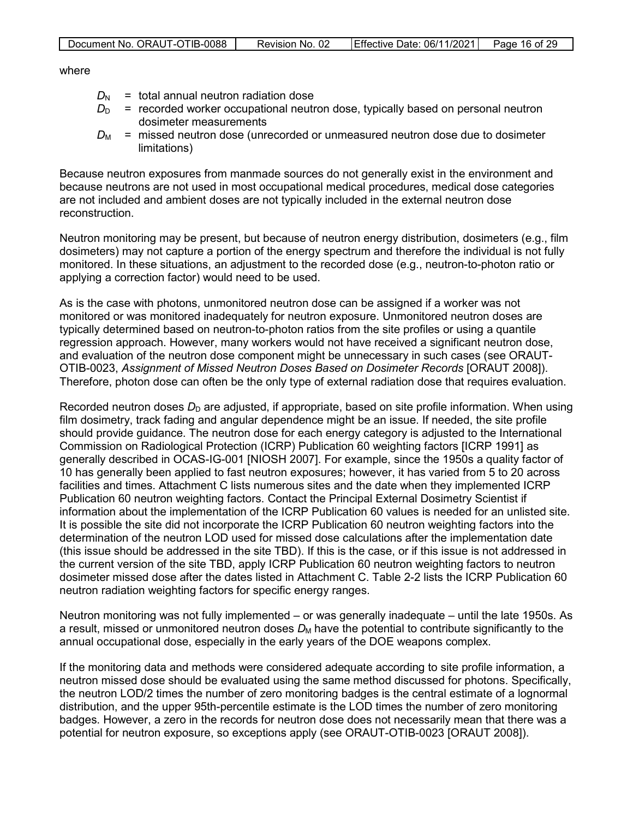| Document No. ORAUT-OTIB-0088 | Revision No. 02 | Effective Date: $06/11/2021$ Page 16 of 29 |  |
|------------------------------|-----------------|--------------------------------------------|--|

where

- $D_N$  = total annual neutron radiation dose
- $D_D$  = recorded worker occupational neutron dose, typically based on personal neutron dosimeter measurements
- $D_M$  = missed neutron dose (unrecorded or unmeasured neutron dose due to dosimeter limitations)

Because neutron exposures from manmade sources do not generally exist in the environment and because neutrons are not used in most occupational medical procedures, medical dose categories are not included and ambient doses are not typically included in the external neutron dose reconstruction.

Neutron monitoring may be present, but because of neutron energy distribution, dosimeters (e.g., film dosimeters) may not capture a portion of the energy spectrum and therefore the individual is not fully monitored. In these situations, an adjustment to the recorded dose (e.g., neutron-to-photon ratio or applying a correction factor) would need to be used.

As is the case with photons, unmonitored neutron dose can be assigned if a worker was not monitored or was monitored inadequately for neutron exposure. Unmonitored neutron doses are typically determined based on neutron-to-photon ratios from the site profiles or using a quantile regression approach. However, many workers would not have received a significant neutron dose, and evaluation of the neutron dose component might be unnecessary in such cases (see ORAUT-OTIB-0023, *Assignment of Missed Neutron Doses Based on Dosimeter Records* [ORAUT 2008]). Therefore, photon dose can often be the only type of external radiation dose that requires evaluation.

Recorded neutron doses  $D<sub>D</sub>$  are adjusted, if appropriate, based on site profile information. When using film dosimetry, track fading and angular dependence might be an issue. If needed, the site profile should provide guidance. The neutron dose for each energy category is adjusted to the International Commission on Radiological Protection (ICRP) Publication 60 weighting factors [ICRP 1991] as generally described in OCAS-IG-001 [NIOSH 2007]. For example, since the 1950s a quality factor of 10 has generally been applied to fast neutron exposures; however, it has varied from 5 to 20 across facilities and times. Attachment C lists numerous sites and the date when they implemented ICRP Publication 60 neutron weighting factors. Contact the Principal External Dosimetry Scientist if information about the implementation of the ICRP Publication 60 values is needed for an unlisted site. It is possible the site did not incorporate the ICRP Publication 60 neutron weighting factors into the determination of the neutron LOD used for missed dose calculations after the implementation date (this issue should be addressed in the site TBD). If this is the case, or if this issue is not addressed in the current version of the site TBD, apply ICRP Publication 60 neutron weighting factors to neutron dosimeter missed dose after the dates listed in Attachment C. Table 2-2 lists the ICRP Publication 60 neutron radiation weighting factors for specific energy ranges.

Neutron monitoring was not fully implemented – or was generally inadequate – until the late 1950s. As a result, missed or unmonitored neutron doses  $D_M$  have the potential to contribute significantly to the annual occupational dose, especially in the early years of the DOE weapons complex.

If the monitoring data and methods were considered adequate according to site profile information, a neutron missed dose should be evaluated using the same method discussed for photons. Specifically, the neutron LOD/2 times the number of zero monitoring badges is the central estimate of a lognormal distribution, and the upper 95th-percentile estimate is the LOD times the number of zero monitoring badges. However, a zero in the records for neutron dose does not necessarily mean that there was a potential for neutron exposure, so exceptions apply (see ORAUT-OTIB-0023 [ORAUT 2008]).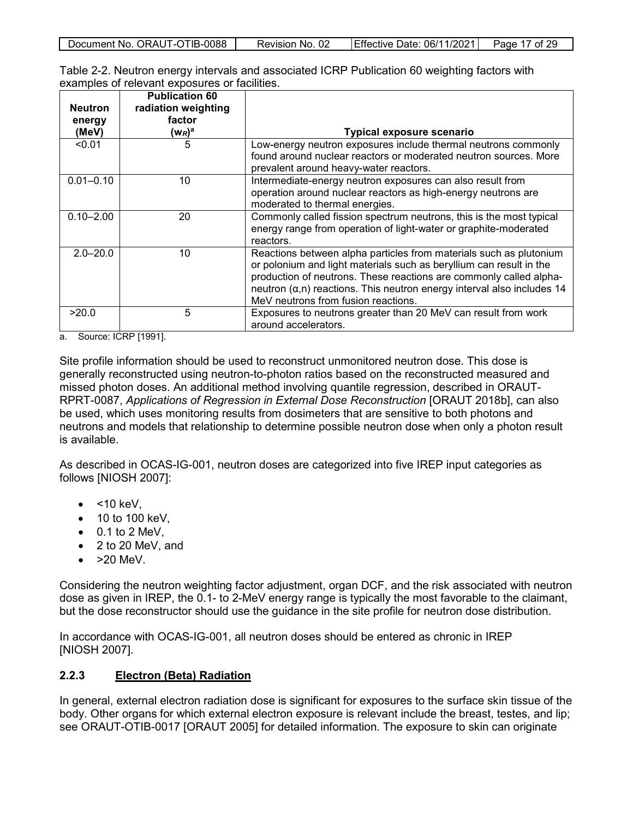| Document No. ORAUT-OTIB-0088 | Revision No. 02 | Effective Date: 06/11/2021 | Page 17 of 29 |
|------------------------------|-----------------|----------------------------|---------------|
|                              |                 |                            |               |

<span id="page-16-1"></span>

| Table 2-2. Neutron energy intervals and associated ICRP Publication 60 weighting factors with |  |
|-----------------------------------------------------------------------------------------------|--|
| examples of relevant exposures or facilities.                                                 |  |

| <b>Neutron</b><br>energy<br>(MeV) | <b>Publication 60</b><br>radiation weighting<br>factor<br>$(\mathsf{w}_R)^\mathsf{a}$ | <b>Typical exposure scenario</b>                                                                                                                                                                                                                                                                                                         |
|-----------------------------------|---------------------------------------------------------------------------------------|------------------------------------------------------------------------------------------------------------------------------------------------------------------------------------------------------------------------------------------------------------------------------------------------------------------------------------------|
| < 0.01                            | 5                                                                                     | Low-energy neutron exposures include thermal neutrons commonly<br>found around nuclear reactors or moderated neutron sources. More<br>prevalent around heavy-water reactors.                                                                                                                                                             |
| $0.01 - 0.10$                     | 10                                                                                    | Intermediate-energy neutron exposures can also result from<br>operation around nuclear reactors as high-energy neutrons are<br>moderated to thermal energies.                                                                                                                                                                            |
| $0.10 - 2.00$                     | 20                                                                                    | Commonly called fission spectrum neutrons, this is the most typical<br>energy range from operation of light-water or graphite-moderated<br>reactors.                                                                                                                                                                                     |
| $2.0 - 20.0$                      | 10                                                                                    | Reactions between alpha particles from materials such as plutonium<br>or polonium and light materials such as beryllium can result in the<br>production of neutrons. These reactions are commonly called alpha-<br>neutron $(\alpha, n)$ reactions. This neutron energy interval also includes 14<br>MeV neutrons from fusion reactions. |
| >20.0                             | 5                                                                                     | Exposures to neutrons greater than 20 MeV can result from work<br>around accelerators.                                                                                                                                                                                                                                                   |

a. Source: ICRP [1991].

Site profile information should be used to reconstruct unmonitored neutron dose. This dose is generally reconstructed using neutron-to-photon ratios based on the reconstructed measured and missed photon doses. An additional method involving quantile regression, described in ORAUT-RPRT-0087, *Applications of Regression in External Dose Reconstruction* [ORAUT 2018b], can also be used, which uses monitoring results from dosimeters that are sensitive to both photons and neutrons and models that relationship to determine possible neutron dose when only a photon result is available.

As described in OCAS-IG-001, neutron doses are categorized into five IREP input categories as follows [NIOSH 2007]:

- $\bullet$  <10 keV.
- 10 to 100 keV,
- $\bullet$  0.1 to 2 MeV,
- 2 to 20 MeV, and
- $\bullet$  >20 MeV.

Considering the neutron weighting factor adjustment, organ DCF, and the risk associated with neutron dose as given in IREP, the 0.1- to 2-MeV energy range is typically the most favorable to the claimant, but the dose reconstructor should use the guidance in the site profile for neutron dose distribution.

In accordance with OCAS-IG-001, all neutron doses should be entered as chronic in IREP [NIOSH 2007].

#### <span id="page-16-0"></span>**2.2.3 Electron (Beta) Radiation**

In general, external electron radiation dose is significant for exposures to the surface skin tissue of the body. Other organs for which external electron exposure is relevant include the breast, testes, and lip; see ORAUT-OTIB-0017 [ORAUT 2005] for detailed information. The exposure to skin can originate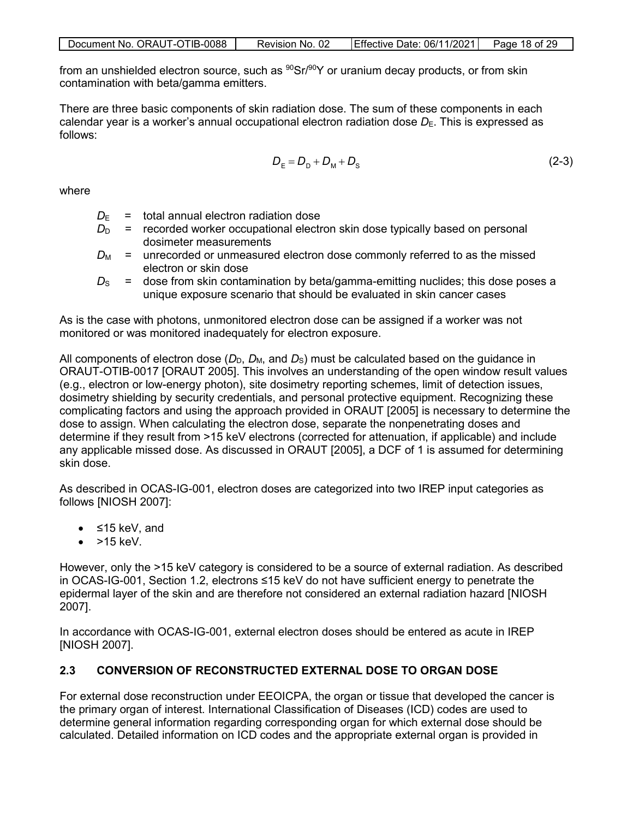| Document No. ORAUT-OTIB-0088 | Revision No. 02 | Effective Date: 06/11/2021   Page 18 of 29 |  |
|------------------------------|-----------------|--------------------------------------------|--|

from an unshielded electron source, such as  $90\text{Sr}/90\text{Y}$  or uranium decay products, or from skin contamination with beta/gamma emitters.

There are three basic components of skin radiation dose. The sum of these components in each calendar year is a worker's annual occupational electron radiation dose  $D_{E}$ . This is expressed as follows:

$$
D_{\rm E} = D_{\rm D} + D_{\rm M} + D_{\rm S} \tag{2-3}
$$

where

- $D_F$  = total annual electron radiation dose
- $D<sub>D</sub>$  = recorded worker occupational electron skin dose typically based on personal dosimeter measurements
- $D_M$  = unrecorded or unmeasured electron dose commonly referred to as the missed electron or skin dose
- $D_{\rm s}$  = dose from skin contamination by beta/gamma-emitting nuclides; this dose poses a unique exposure scenario that should be evaluated in skin cancer cases

As is the case with photons, unmonitored electron dose can be assigned if a worker was not monitored or was monitored inadequately for electron exposure.

All components of electron dose  $(D_D, D_M,$  and  $D_S)$  must be calculated based on the guidance in ORAUT-OTIB-0017 [ORAUT 2005]. This involves an understanding of the open window result values (e.g., electron or low-energy photon), site dosimetry reporting schemes, limit of detection issues, dosimetry shielding by security credentials, and personal protective equipment. Recognizing these complicating factors and using the approach provided in ORAUT [2005] is necessary to determine the dose to assign. When calculating the electron dose, separate the nonpenetrating doses and determine if they result from >15 keV electrons (corrected for attenuation, if applicable) and include any applicable missed dose. As discussed in ORAUT [2005], a DCF of 1 is assumed for determining skin dose.

As described in OCAS-IG-001, electron doses are categorized into two IREP input categories as follows [NIOSH 2007]:

- ≤15 keV, and
- $\bullet$  >15 keV.

However, only the >15 keV category is considered to be a source of external radiation. As described in OCAS-IG-001, Section 1.2, electrons ≤15 keV do not have sufficient energy to penetrate the epidermal layer of the skin and are therefore not considered an external radiation hazard [NIOSH 2007].

In accordance with OCAS-IG-001, external electron doses should be entered as acute in IREP [NIOSH 2007].

### <span id="page-17-0"></span>**2.3 CONVERSION OF RECONSTRUCTED EXTERNAL DOSE TO ORGAN DOSE**

For external dose reconstruction under EEOICPA, the organ or tissue that developed the cancer is the primary organ of interest. International Classification of Diseases (ICD) codes are used to determine general information regarding corresponding organ for which external dose should be calculated. Detailed information on ICD codes and the appropriate external organ is provided in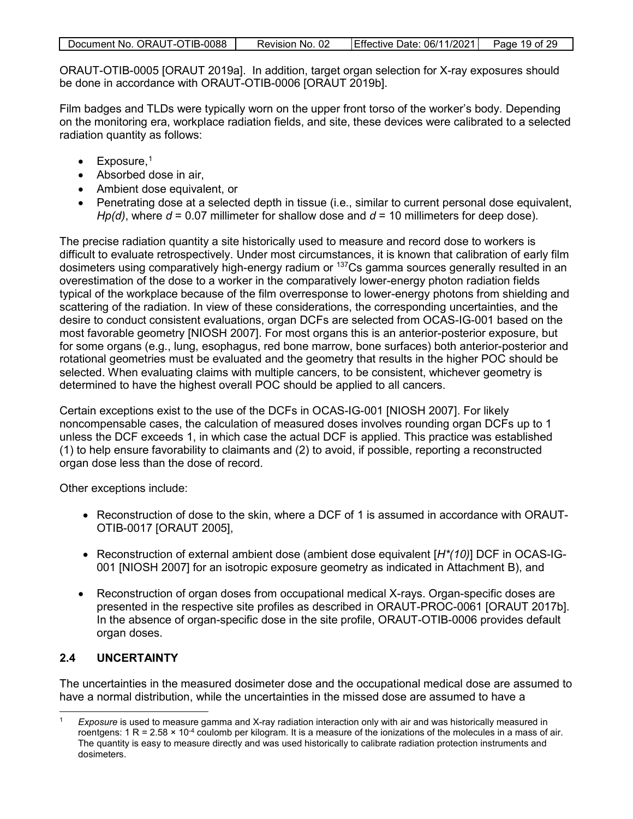| Document No. ORAUT-OTIB-0088 | Revision No. 02 | Effective Date: 06/11/2021 | Page 19 of 29 |
|------------------------------|-----------------|----------------------------|---------------|

ORAUT-OTIB-0005 [ORAUT 2019a]. In addition, target organ selection for X-ray exposures should be done in accordance with ORAUT-OTIB-0006 [ORAUT 2019b].

Film badges and TLDs were typically worn on the upper front torso of the worker's body. Depending on the monitoring era, workplace radiation fields, and site, these devices were calibrated to a selected radiation quantity as follows:

- $\bullet$  Exposure,<sup>1</sup>
- Absorbed dose in air,
- Ambient dose equivalent, or
- Penetrating dose at a selected depth in tissue (i.e., similar to current personal dose equivalent, *Hp(d)*, where *d* = 0.07 millimeter for shallow dose and *d* = 10 millimeters for deep dose).

The precise radiation quantity a site historically used to measure and record dose to workers is difficult to evaluate retrospectively. Under most circumstances, it is known that calibration of early film dosimeters using comparatively high-energy radium or 137Cs gamma sources generally resulted in an overestimation of the dose to a worker in the comparatively lower-energy photon radiation fields typical of the workplace because of the film overresponse to lower-energy photons from shielding and scattering of the radiation. In view of these considerations, the corresponding uncertainties, and the desire to conduct consistent evaluations, organ DCFs are selected from OCAS-IG-001 based on the most favorable geometry [NIOSH 2007]. For most organs this is an anterior-posterior exposure, but for some organs (e.g., lung, esophagus, red bone marrow, bone surfaces) both anterior-posterior and rotational geometries must be evaluated and the geometry that results in the higher POC should be selected. When evaluating claims with multiple cancers, to be consistent, whichever geometry is determined to have the highest overall POC should be applied to all cancers.

Certain exceptions exist to the use of the DCFs in OCAS-IG-001 [NIOSH 2007]. For likely noncompensable cases, the calculation of measured doses involves rounding organ DCFs up to 1 unless the DCF exceeds 1, in which case the actual DCF is applied. This practice was established (1) to help ensure favorability to claimants and (2) to avoid, if possible, reporting a reconstructed organ dose less than the dose of record.

Other exceptions include:

- Reconstruction of dose to the skin, where a DCF of 1 is assumed in accordance with ORAUT-OTIB-0017 [ORAUT 2005],
- Reconstruction of external ambient dose (ambient dose equivalent [*H\*(10)*] DCF in OCAS-IG-001 [NIOSH 2007] for an isotropic exposure geometry as indicated in Attachment B), and
- Reconstruction of organ doses from occupational medical X-rays. Organ-specific doses are presented in the respective site profiles as described in ORAUT-PROC-0061 [ORAUT 2017b]. In the absence of organ-specific dose in the site profile, ORAUT-OTIB-0006 provides default organ doses.

### <span id="page-18-0"></span>**2.4 UNCERTAINTY**

 $\overline{a}$ 

The uncertainties in the measured dosimeter dose and the occupational medical dose are assumed to have a normal distribution, while the uncertainties in the missed dose are assumed to have a

<sup>1</sup> *Exposure* is used to measure gamma and X-ray radiation interaction only with air and was historically measured in roentgens:  $1 R = 2.58 \times 10^{-4}$  coulomb per kilogram. It is a measure of the ionizations of the molecules in a mass of air. The quantity is easy to measure directly and was used historically to calibrate radiation protection instruments and dosimeters.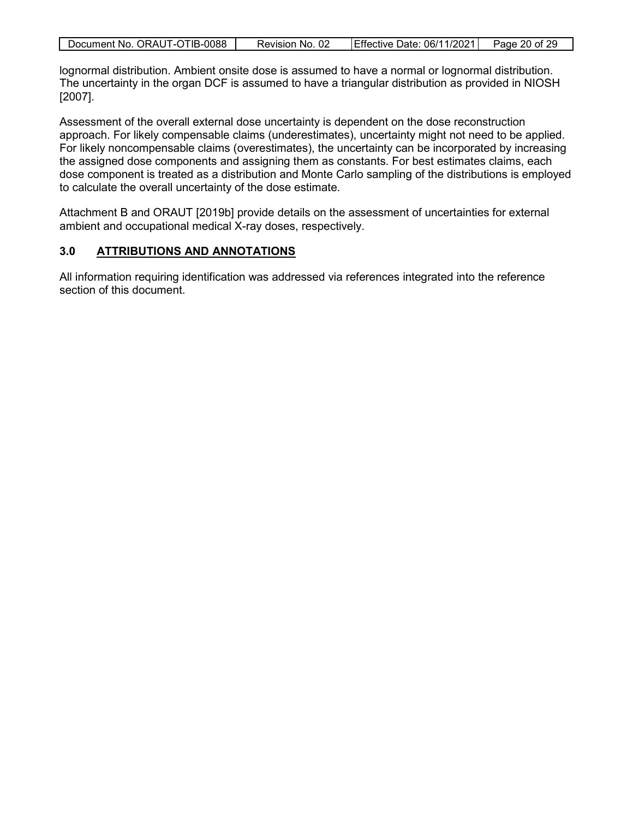| Document No. ORAUT-OTIB-0088 | Revision No. 02 | Effective Date: 06/11/2021 | Page 20 of 29 |
|------------------------------|-----------------|----------------------------|---------------|
|                              |                 |                            |               |

lognormal distribution. Ambient onsite dose is assumed to have a normal or lognormal distribution. The uncertainty in the organ DCF is assumed to have a triangular distribution as provided in NIOSH [2007].

Assessment of the overall external dose uncertainty is dependent on the dose reconstruction approach. For likely compensable claims (underestimates), uncertainty might not need to be applied. For likely noncompensable claims (overestimates), the uncertainty can be incorporated by increasing the assigned dose components and assigning them as constants. For best estimates claims, each dose component is treated as a distribution and Monte Carlo sampling of the distributions is employed to calculate the overall uncertainty of the dose estimate.

Attachment B and ORAUT [2019b] provide details on the assessment of uncertainties for external ambient and occupational medical X-ray doses, respectively.

#### <span id="page-19-0"></span>**3.0 ATTRIBUTIONS AND ANNOTATIONS**

All information requiring identification was addressed via references integrated into the reference section of this document.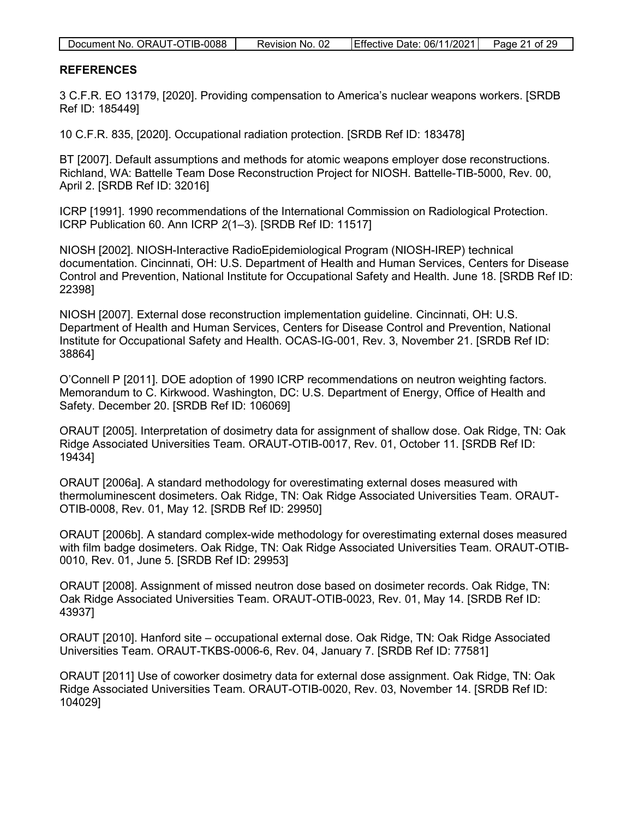| Document No. ORAUT-OTIB-0088 | Revision No. 02 | Effective Date: 06/11/2021 | Page 21 of 29 |
|------------------------------|-----------------|----------------------------|---------------|
|------------------------------|-----------------|----------------------------|---------------|

#### <span id="page-20-0"></span>**REFERENCES**

3 C.F.R. EO 13179, [2020]. Providing compensation to America's nuclear weapons workers. [SRDB Ref ID: 185449]

10 C.F.R. 835, [2020]. Occupational radiation protection. [SRDB Ref ID: 183478]

BT [2007]. Default assumptions and methods for atomic weapons employer dose reconstructions. Richland, WA: Battelle Team Dose Reconstruction Project for NIOSH. Battelle-TIB-5000, Rev. 00, April 2. [SRDB Ref ID: 32016]

ICRP [1991]. 1990 recommendations of the International Commission on Radiological Protection. ICRP Publication 60. Ann ICRP *2*(1–3). [SRDB Ref ID: 11517]

NIOSH [2002]. NIOSH-Interactive RadioEpidemiological Program (NIOSH-IREP) technical documentation. Cincinnati, OH: U.S. Department of Health and Human Services, Centers for Disease Control and Prevention, National Institute for Occupational Safety and Health. June 18. [SRDB Ref ID: 22398]

NIOSH [2007]. External dose reconstruction implementation guideline. Cincinnati, OH: U.S. Department of Health and Human Services, Centers for Disease Control and Prevention, National Institute for Occupational Safety and Health. OCAS-IG-001, Rev. 3, November 21. [SRDB Ref ID: 38864]

O'Connell P [2011]. DOE adoption of 1990 ICRP recommendations on neutron weighting factors. Memorandum to C. Kirkwood. Washington, DC: U.S. Department of Energy, Office of Health and Safety. December 20. [SRDB Ref ID: 106069]

ORAUT [2005]. Interpretation of dosimetry data for assignment of shallow dose. Oak Ridge, TN: Oak Ridge Associated Universities Team. ORAUT-OTIB-0017, Rev. 01, October 11. [SRDB Ref ID: 19434]

ORAUT [2006a]. A standard methodology for overestimating external doses measured with thermoluminescent dosimeters. Oak Ridge, TN: Oak Ridge Associated Universities Team. ORAUT-OTIB-0008, Rev. 01, May 12. [SRDB Ref ID: 29950]

ORAUT [2006b]. A standard complex-wide methodology for overestimating external doses measured with film badge dosimeters. Oak Ridge, TN: Oak Ridge Associated Universities Team. ORAUT-OTIB-0010, Rev. 01, June 5. [SRDB Ref ID: 29953]

ORAUT [2008]. Assignment of missed neutron dose based on dosimeter records. Oak Ridge, TN: Oak Ridge Associated Universities Team. ORAUT-OTIB-0023, Rev. 01, May 14. [SRDB Ref ID: 43937]

ORAUT [2010]. Hanford site – occupational external dose. Oak Ridge, TN: Oak Ridge Associated Universities Team. ORAUT-TKBS-0006-6, Rev. 04, January 7. [SRDB Ref ID: 77581]

ORAUT [2011] Use of coworker dosimetry data for external dose assignment. Oak Ridge, TN: Oak Ridge Associated Universities Team. ORAUT-OTIB-0020, Rev. 03, November 14. [SRDB Ref ID: 104029]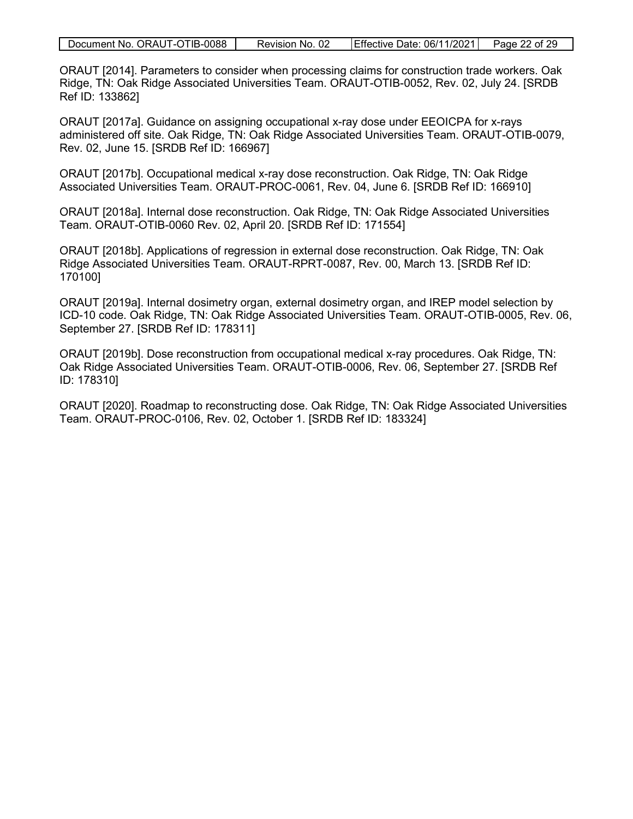|  | Document No. ORAUT-OTIB-0088 | Revision No. 02 | Effective Date: 06/11/2021 | Page 22 of 29 |
|--|------------------------------|-----------------|----------------------------|---------------|
|--|------------------------------|-----------------|----------------------------|---------------|

ORAUT [2014]. Parameters to consider when processing claims for construction trade workers. Oak Ridge, TN: Oak Ridge Associated Universities Team. ORAUT-OTIB-0052, Rev. 02, July 24. [SRDB Ref ID: 133862]

ORAUT [2017a]. Guidance on assigning occupational x-ray dose under EEOICPA for x-rays administered off site. Oak Ridge, TN: Oak Ridge Associated Universities Team. ORAUT-OTIB-0079, Rev. 02, June 15. [SRDB Ref ID: 166967]

ORAUT [2017b]. Occupational medical x-ray dose reconstruction. Oak Ridge, TN: Oak Ridge Associated Universities Team. ORAUT-PROC-0061, Rev. 04, June 6. [SRDB Ref ID: 166910]

ORAUT [2018a]. Internal dose reconstruction. Oak Ridge, TN: Oak Ridge Associated Universities Team. ORAUT-OTIB-0060 Rev. 02, April 20. [SRDB Ref ID: 171554]

ORAUT [2018b]. Applications of regression in external dose reconstruction. Oak Ridge, TN: Oak Ridge Associated Universities Team. ORAUT-RPRT-0087, Rev. 00, March 13. [SRDB Ref ID: 170100]

ORAUT [2019a]. Internal dosimetry organ, external dosimetry organ, and IREP model selection by ICD-10 code. Oak Ridge, TN: Oak Ridge Associated Universities Team. ORAUT-OTIB-0005, Rev. 06, September 27. [SRDB Ref ID: 178311]

ORAUT [2019b]. Dose reconstruction from occupational medical x-ray procedures. Oak Ridge, TN: Oak Ridge Associated Universities Team. ORAUT-OTIB-0006, Rev. 06, September 27. [SRDB Ref ID: 178310]

ORAUT [2020]. Roadmap to reconstructing dose. Oak Ridge, TN: Oak Ridge Associated Universities Team. ORAUT-PROC-0106, Rev. 02, October 1. [SRDB Ref ID: 183324]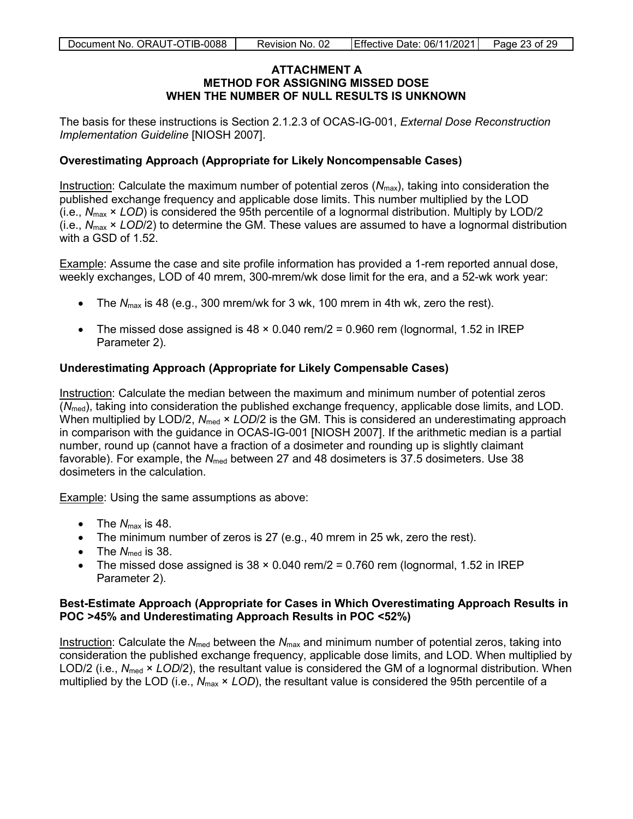#### **ATTACHMENT A METHOD FOR ASSIGNING MISSED DOSE WHEN THE NUMBER OF NULL RESULTS IS UNKNOWN**

<span id="page-22-0"></span>The basis for these instructions is Section 2.1.2.3 of OCAS-IG-001, *External Dose Reconstruction Implementation Guideline* [NIOSH 2007].

#### **Overestimating Approach (Appropriate for Likely Noncompensable Cases)**

Instruction: Calculate the maximum number of potential zeros (*N*max), taking into consideration the published exchange frequency and applicable dose limits. This number multiplied by the LOD (i.e., *N*max × *LOD*) is considered the 95th percentile of a lognormal distribution. Multiply by LOD/2 (i.e., *N*max × *LOD*/2) to determine the GM. These values are assumed to have a lognormal distribution with a GSD of 1.52.

Example: Assume the case and site profile information has provided a 1-rem reported annual dose, weekly exchanges, LOD of 40 mrem, 300-mrem/wk dose limit for the era, and a 52-wk work year:

- The  $N_{\text{max}}$  is 48 (e.g., 300 mrem/wk for 3 wk, 100 mrem in 4th wk, zero the rest).
- The missed dose assigned is  $48 \times 0.040$  rem/ $2 = 0.960$  rem (lognormal, 1.52 in IREP Parameter 2).

#### **Underestimating Approach (Appropriate for Likely Compensable Cases)**

Instruction: Calculate the median between the maximum and minimum number of potential zeros (*N*med), taking into consideration the published exchange frequency, applicable dose limits, and LOD. When multiplied by LOD/2,  $N_{\text{med}} \times$  *LOD*/2 is the GM. This is considered an underestimating approach in comparison with the guidance in OCAS-IG-001 [NIOSH 2007]. If the arithmetic median is a partial number, round up (cannot have a fraction of a dosimeter and rounding up is slightly claimant favorable). For example, the *N*<sub>med</sub> between 27 and 48 dosimeters is 37.5 dosimeters. Use 38 dosimeters in the calculation.

Example: Using the same assumptions as above:

- The  $N_{\text{max}}$  is 48.
- The minimum number of zeros is 27 (e.g., 40 mrem in 25 wk, zero the rest).
- The  $N_{\text{med}}$  is 38.
- The missed dose assigned is  $38 \times 0.040$  rem/ $2 = 0.760$  rem (lognormal, 1.52 in IREP Parameter 2).

#### **Best-Estimate Approach (Appropriate for Cases in Which Overestimating Approach Results in POC >45% and Underestimating Approach Results in POC <52%)**

Instruction: Calculate the *N*<sub>med</sub> between the *N*<sub>max</sub> and minimum number of potential zeros, taking into consideration the published exchange frequency, applicable dose limits, and LOD. When multiplied by LOD/2 (i.e., N<sub>med</sub> × *LOD*/2), the resultant value is considered the GM of a lognormal distribution. When multiplied by the LOD (i.e., *N*max × *LOD*), the resultant value is considered the 95th percentile of a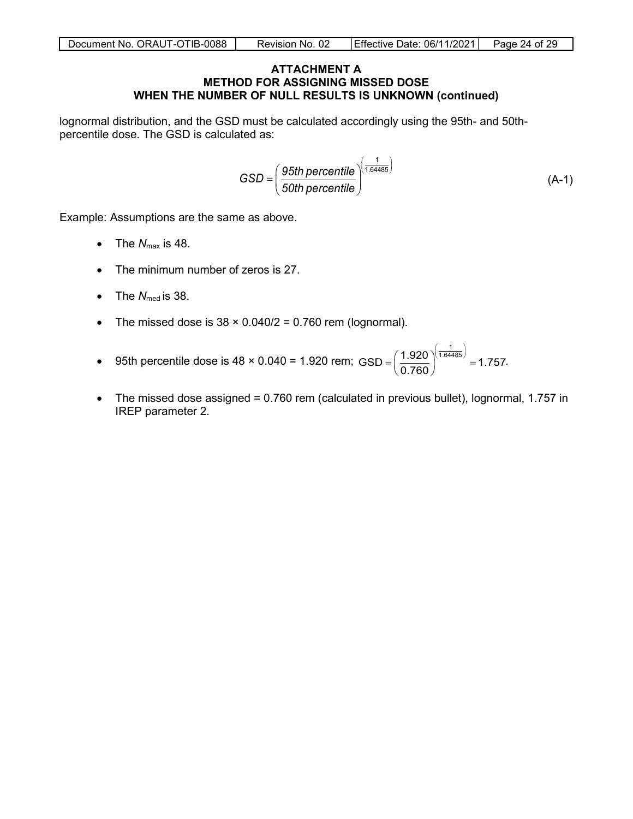#### **ATTACHMENT A METHOD FOR ASSIGNING MISSED DOSE WHEN THE NUMBER OF NULL RESULTS IS UNKNOWN (continued)**

lognormal distribution, and the GSD must be calculated accordingly using the 95th- and 50thpercentile dose. The GSD is calculated as:

$$
GSD = \left(\frac{95th\,\text{percentile}}{50th\,\text{percentile}}\right)^{\left(\frac{1}{1.64485}\right)}
$$
\n(A-1)

Example: Assumptions are the same as above.

- The  $N_{\text{max}}$  is 48.
- The minimum number of zeros is 27.
- The  $N_{\text{med}}$  is 38.
- The missed dose is  $38 \times 0.040/2 = 0.760$  rem (lognormal).
- 95th percentile dose is  $48 \times 0.040 = 1.920$  rem;  $\text{GSD} = \left(\frac{1.920}{0.760}\right)^{\left(\frac{1}{1.64485}\right)} = 1.757$  $(1.920)^{\left(\frac{1}{1.64485}\right)}$  $=\left(\frac{1.920}{0.760}\right)^{(1.94405)} = 1.757.$
- The missed dose assigned = 0.760 rem (calculated in previous bullet), lognormal, 1.757 in IREP parameter 2.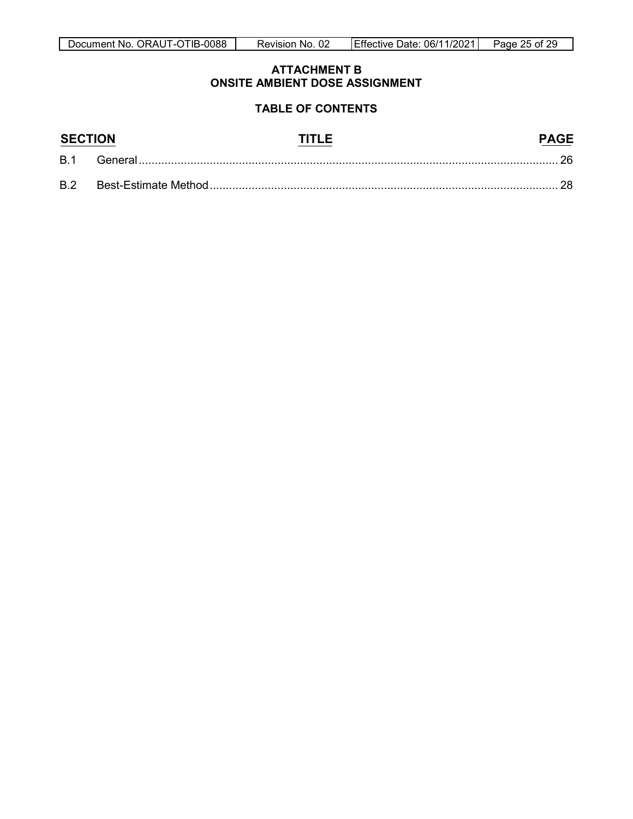#### **ATTACHMENT B ONSITE AMBIENT DOSE ASSIGNMENT**

#### **TABLE OF CONTENTS**

<span id="page-24-0"></span>

| <b>SECTION</b> |         |  |
|----------------|---------|--|
| <b>B.1</b>     | General |  |
| <b>B.2</b>     |         |  |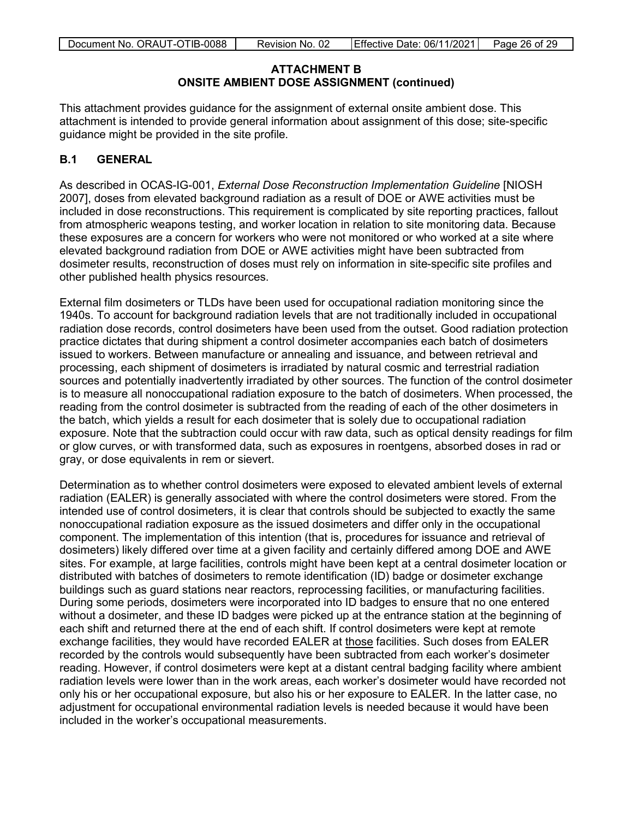#### **ATTACHMENT B ONSITE AMBIENT DOSE ASSIGNMENT (continued)**

This attachment provides guidance for the assignment of external onsite ambient dose. This attachment is intended to provide general information about assignment of this dose; site-specific guidance might be provided in the site profile.

### <span id="page-25-0"></span>**B.1 GENERAL**

As described in OCAS-IG-001, *External Dose Reconstruction Implementation Guideline* [NIOSH 2007], doses from elevated background radiation as a result of DOE or AWE activities must be included in dose reconstructions. This requirement is complicated by site reporting practices, fallout from atmospheric weapons testing, and worker location in relation to site monitoring data. Because these exposures are a concern for workers who were not monitored or who worked at a site where elevated background radiation from DOE or AWE activities might have been subtracted from dosimeter results, reconstruction of doses must rely on information in site-specific site profiles and other published health physics resources.

External film dosimeters or TLDs have been used for occupational radiation monitoring since the 1940s. To account for background radiation levels that are not traditionally included in occupational radiation dose records, control dosimeters have been used from the outset. Good radiation protection practice dictates that during shipment a control dosimeter accompanies each batch of dosimeters issued to workers. Between manufacture or annealing and issuance, and between retrieval and processing, each shipment of dosimeters is irradiated by natural cosmic and terrestrial radiation sources and potentially inadvertently irradiated by other sources. The function of the control dosimeter is to measure all nonoccupational radiation exposure to the batch of dosimeters. When processed, the reading from the control dosimeter is subtracted from the reading of each of the other dosimeters in the batch, which yields a result for each dosimeter that is solely due to occupational radiation exposure. Note that the subtraction could occur with raw data, such as optical density readings for film or glow curves, or with transformed data, such as exposures in roentgens, absorbed doses in rad or gray, or dose equivalents in rem or sievert.

Determination as to whether control dosimeters were exposed to elevated ambient levels of external radiation (EALER) is generally associated with where the control dosimeters were stored. From the intended use of control dosimeters, it is clear that controls should be subjected to exactly the same nonoccupational radiation exposure as the issued dosimeters and differ only in the occupational component. The implementation of this intention (that is, procedures for issuance and retrieval of dosimeters) likely differed over time at a given facility and certainly differed among DOE and AWE sites. For example, at large facilities, controls might have been kept at a central dosimeter location or distributed with batches of dosimeters to remote identification (ID) badge or dosimeter exchange buildings such as guard stations near reactors, reprocessing facilities, or manufacturing facilities. During some periods, dosimeters were incorporated into ID badges to ensure that no one entered without a dosimeter, and these ID badges were picked up at the entrance station at the beginning of each shift and returned there at the end of each shift. If control dosimeters were kept at remote exchange facilities, they would have recorded EALER at those facilities. Such doses from EALER recorded by the controls would subsequently have been subtracted from each worker's dosimeter reading. However, if control dosimeters were kept at a distant central badging facility where ambient radiation levels were lower than in the work areas, each worker's dosimeter would have recorded not only his or her occupational exposure, but also his or her exposure to EALER. In the latter case, no adjustment for occupational environmental radiation levels is needed because it would have been included in the worker's occupational measurements.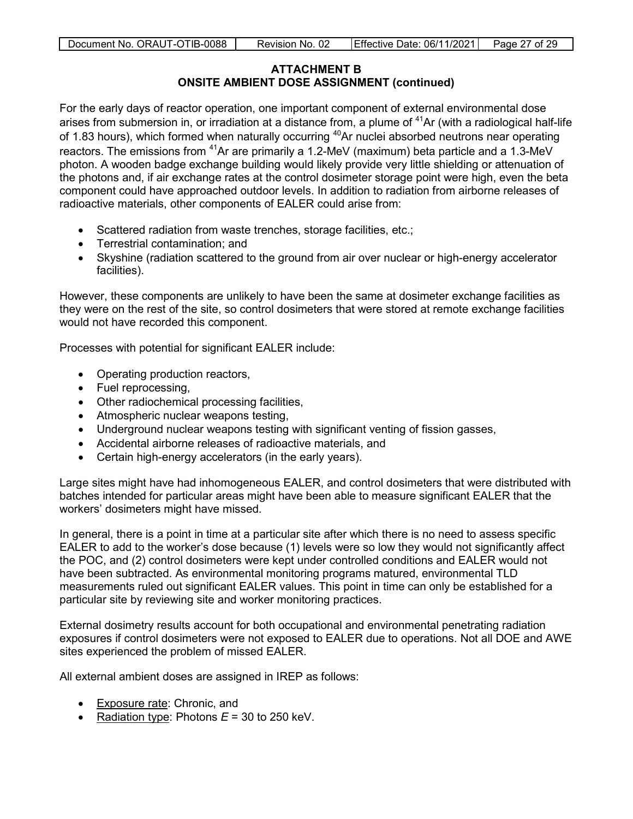#### **ATTACHMENT B ONSITE AMBIENT DOSE ASSIGNMENT (continued)**

For the early days of reactor operation, one important component of external environmental dose arises from submersion in, or irradiation at a distance from, a plume of  $41$ Ar (with a radiological half-life of 1.83 hours), which formed when naturally occurring <sup>40</sup>Ar nuclei absorbed neutrons near operating reactors. The emissions from <sup>41</sup>Ar are primarily a 1.2-MeV (maximum) beta particle and a 1.3-MeV photon. A wooden badge exchange building would likely provide very little shielding or attenuation of the photons and, if air exchange rates at the control dosimeter storage point were high, even the beta component could have approached outdoor levels. In addition to radiation from airborne releases of radioactive materials, other components of EALER could arise from:

- Scattered radiation from waste trenches, storage facilities, etc.;
- Terrestrial contamination; and
- Skyshine (radiation scattered to the ground from air over nuclear or high-energy accelerator facilities).

However, these components are unlikely to have been the same at dosimeter exchange facilities as they were on the rest of the site, so control dosimeters that were stored at remote exchange facilities would not have recorded this component.

Processes with potential for significant EALER include:

- Operating production reactors,
- Fuel reprocessing,
- Other radiochemical processing facilities,
- Atmospheric nuclear weapons testing,
- Underground nuclear weapons testing with significant venting of fission gasses,
- Accidental airborne releases of radioactive materials, and
- Certain high-energy accelerators (in the early years).

Large sites might have had inhomogeneous EALER, and control dosimeters that were distributed with batches intended for particular areas might have been able to measure significant EALER that the workers' dosimeters might have missed.

In general, there is a point in time at a particular site after which there is no need to assess specific EALER to add to the worker's dose because (1) levels were so low they would not significantly affect the POC, and (2) control dosimeters were kept under controlled conditions and EALER would not have been subtracted. As environmental monitoring programs matured, environmental TLD measurements ruled out significant EALER values. This point in time can only be established for a particular site by reviewing site and worker monitoring practices.

External dosimetry results account for both occupational and environmental penetrating radiation exposures if control dosimeters were not exposed to EALER due to operations. Not all DOE and AWE sites experienced the problem of missed EALER.

All external ambient doses are assigned in IREP as follows:

- Exposure rate: Chronic, and
- Radiation type: Photons  $E = 30$  to 250 keV.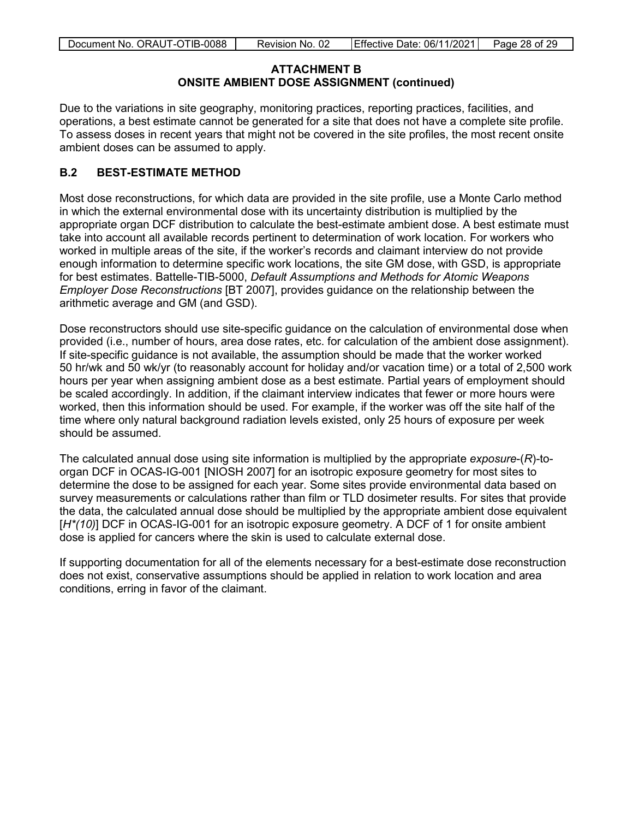#### **ATTACHMENT B ONSITE AMBIENT DOSE ASSIGNMENT (continued)**

Due to the variations in site geography, monitoring practices, reporting practices, facilities, and operations, a best estimate cannot be generated for a site that does not have a complete site profile. To assess doses in recent years that might not be covered in the site profiles, the most recent onsite ambient doses can be assumed to apply.

#### <span id="page-27-0"></span>**B.2 BEST-ESTIMATE METHOD**

Most dose reconstructions, for which data are provided in the site profile, use a Monte Carlo method in which the external environmental dose with its uncertainty distribution is multiplied by the appropriate organ DCF distribution to calculate the best-estimate ambient dose. A best estimate must take into account all available records pertinent to determination of work location. For workers who worked in multiple areas of the site, if the worker's records and claimant interview do not provide enough information to determine specific work locations, the site GM dose, with GSD, is appropriate for best estimates. Battelle-TIB-5000, *Default Assumptions and Methods for Atomic Weapons Employer Dose Reconstructions* [BT 2007], provides guidance on the relationship between the arithmetic average and GM (and GSD).

Dose reconstructors should use site-specific guidance on the calculation of environmental dose when provided (i.e., number of hours, area dose rates, etc. for calculation of the ambient dose assignment). If site-specific guidance is not available, the assumption should be made that the worker worked 50 hr/wk and 50 wk/yr (to reasonably account for holiday and/or vacation time) or a total of 2,500 work hours per year when assigning ambient dose as a best estimate. Partial years of employment should be scaled accordingly. In addition, if the claimant interview indicates that fewer or more hours were worked, then this information should be used. For example, if the worker was off the site half of the time where only natural background radiation levels existed, only 25 hours of exposure per week should be assumed.

The calculated annual dose using site information is multiplied by the appropriate *exposure*-(*R*)-toorgan DCF in OCAS-IG-001 [NIOSH 2007] for an isotropic exposure geometry for most sites to determine the dose to be assigned for each year. Some sites provide environmental data based on survey measurements or calculations rather than film or TLD dosimeter results. For sites that provide the data, the calculated annual dose should be multiplied by the appropriate ambient dose equivalent [*H\*(10)*] DCF in OCAS-IG-001 for an isotropic exposure geometry. A DCF of 1 for onsite ambient dose is applied for cancers where the skin is used to calculate external dose.

If supporting documentation for all of the elements necessary for a best-estimate dose reconstruction does not exist, conservative assumptions should be applied in relation to work location and area conditions, erring in favor of the claimant.